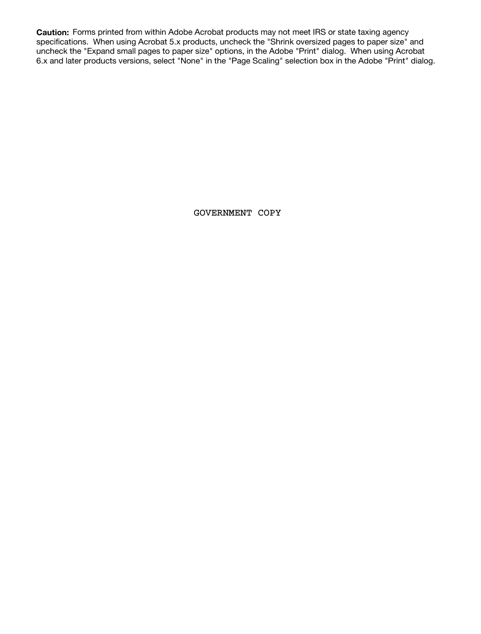**Caution:** Forms printed from within Adobe Acrobat products may not meet IRS or state taxing agency specifications. When using Acrobat 5.x products, uncheck the "Shrink oversized pages to paper size" and uncheck the "Expand small pages to paper size" options, in the Adobe "Print" dialog. When using Acrobat 6.x and later products versions, select "None" in the "Page Scaling" selection box in the Adobe "Print" dialog.

GOVERNMENT COPY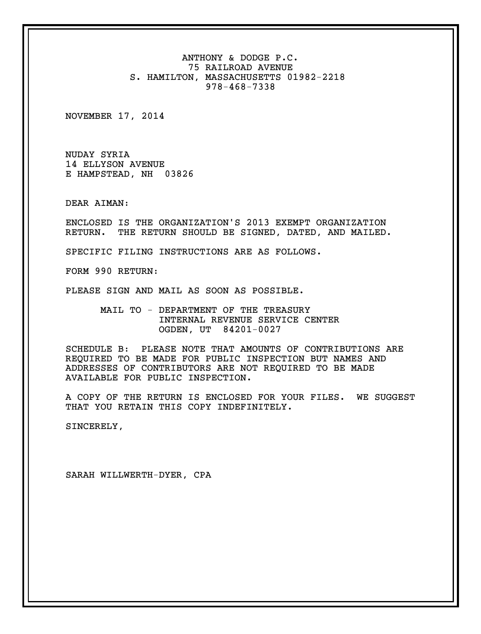ANTHONY & DODGE P.C. 75 RAILROAD AVENUE S. HAMILTON, MASSACHUSETTS 01982-2218 978-468-7338

NOVEMBER 17, 2014

NUDAY SYRIA 14 ELLYSON AVENUE E HAMPSTEAD, NH 03826

DEAR AIMAN:

ENCLOSED IS THE ORGANIZATION'S 2013 EXEMPT ORGANIZATION RETURN. THE RETURN SHOULD BE SIGNED, DATED, AND MAILED.

SPECIFIC FILING INSTRUCTIONS ARE AS FOLLOWS.

FORM 990 RETURN:

PLEASE SIGN AND MAIL AS SOON AS POSSIBLE.

MAIL TO - DEPARTMENT OF THE TREASURY INTERNAL REVENUE SERVICE CENTER OGDEN, UT 84201-0027

SCHEDULE B: PLEASE NOTE THAT AMOUNTS OF CONTRIBUTIONS ARE REQUIRED TO BE MADE FOR PUBLIC INSPECTION BUT NAMES AND ADDRESSES OF CONTRIBUTORS ARE NOT REQUIRED TO BE MADE AVAILABLE FOR PUBLIC INSPECTION.

A COPY OF THE RETURN IS ENCLOSED FOR YOUR FILES. WE SUGGEST THAT YOU RETAIN THIS COPY INDEFINITELY.

SINCERELY,

SARAH WILLWERTH-DYER, CPA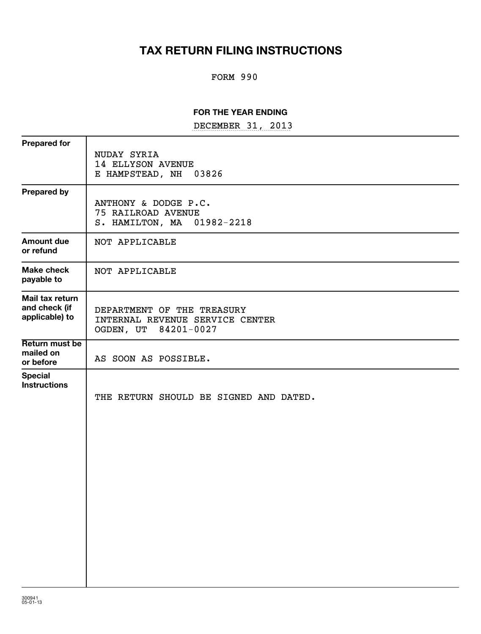## **TAX RETURN FILING INSTRUCTIONS**

### FORM 990

#### **FOR THE YEAR ENDING**

DECEMBER 31, 2013

| <b>Prepared for</b>                                | NUDAY SYRIA<br><b>14 ELLYSON AVENUE</b><br>E HAMPSTEAD, NH<br>03826                   |
|----------------------------------------------------|---------------------------------------------------------------------------------------|
| <b>Prepared by</b>                                 | ANTHONY & DODGE P.C.<br>75 RAILROAD AVENUE<br>S. HAMILTON, MA 01982-2218              |
| <b>Amount due</b><br>or refund                     | NOT APPLICABLE                                                                        |
| <b>Make check</b><br>payable to                    | NOT APPLICABLE                                                                        |
| Mail tax return<br>and check (if<br>applicable) to | DEPARTMENT OF THE TREASURY<br>INTERNAL REVENUE SERVICE CENTER<br>OGDEN, UT 84201-0027 |
| Return must be<br>mailed on<br>or before           | AS SOON AS POSSIBLE.                                                                  |
| <b>Special</b><br><b>Instructions</b>              | THE RETURN SHOULD BE SIGNED AND DATED.                                                |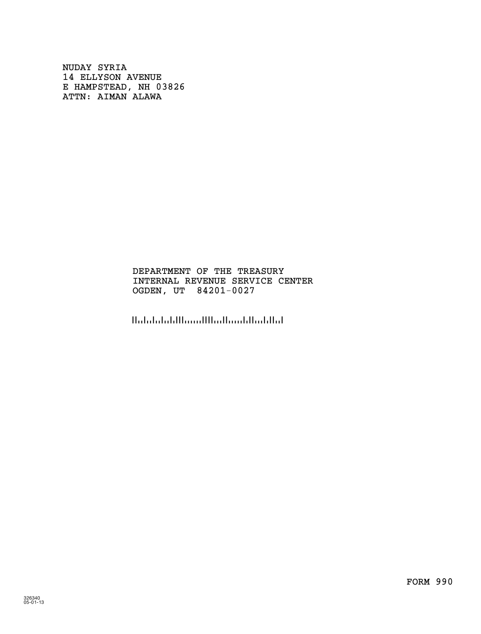NUDAY SYRIA 14 ELLYSON AVENUE E HAMPSTEAD, NH 03826 ATTN: AIMAN ALAWA

> DEPARTMENT OF THE TREASURY INTERNAL REVENUE SERVICE CENTER OGDEN, UT 84201-0027

!8420100276!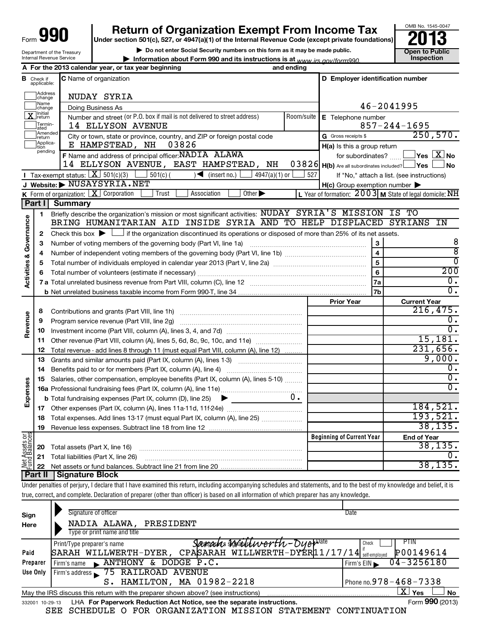| 990<br>Form                |
|----------------------------|
| Department of the Treasury |
| Internal Revenue Service   |

# **990** Return of Organization Exempt From Income Tax **Punce 13**

**| Do not enter Social Security numbers on this form as it may be made public.**

**| Information about Form 990 and its instructions is at Inspection** *www.irs.gov/form990.*



|                                |                                  | A For the 2013 calendar year, or tax year beginning                                                                                                                                                                                                                                                                                                                                                                                                                                                                                                                                                                                                                                                                                                                   | and ending |                                                            |                                                            |
|--------------------------------|----------------------------------|-----------------------------------------------------------------------------------------------------------------------------------------------------------------------------------------------------------------------------------------------------------------------------------------------------------------------------------------------------------------------------------------------------------------------------------------------------------------------------------------------------------------------------------------------------------------------------------------------------------------------------------------------------------------------------------------------------------------------------------------------------------------------|------------|------------------------------------------------------------|------------------------------------------------------------|
|                                | <b>B</b> Check if<br>applicable: | <b>C</b> Name of organization                                                                                                                                                                                                                                                                                                                                                                                                                                                                                                                                                                                                                                                                                                                                         |            | D Employer identification number                           |                                                            |
|                                | Address<br>change<br>Name        | NUDAY SYRIA                                                                                                                                                                                                                                                                                                                                                                                                                                                                                                                                                                                                                                                                                                                                                           |            |                                                            |                                                            |
|                                | change<br>¶Initial               | Doing Business As                                                                                                                                                                                                                                                                                                                                                                                                                                                                                                                                                                                                                                                                                                                                                     |            |                                                            | 46-2041995                                                 |
|                                | 」return<br>Termin-               | Number and street (or P.O. box if mail is not delivered to street address)<br>14 ELLYSON AVENUE                                                                                                                                                                                                                                                                                                                                                                                                                                                                                                                                                                                                                                                                       | Room/suite | E Telephone number                                         | $857 - 244 - 1695$                                         |
|                                | ated<br>Amended                  |                                                                                                                                                                                                                                                                                                                                                                                                                                                                                                                                                                                                                                                                                                                                                                       |            | G Gross receipts \$                                        | 250,570.                                                   |
|                                | return<br>Applica-               | City or town, state or province, country, and ZIP or foreign postal code<br>E HAMPSTEAD, NH<br>03826                                                                                                                                                                                                                                                                                                                                                                                                                                                                                                                                                                                                                                                                  |            | H(a) Is this a group return                                |                                                            |
|                                | tion<br>pending                  | F Name and address of principal officer: NADIA ALAWA                                                                                                                                                                                                                                                                                                                                                                                                                                                                                                                                                                                                                                                                                                                  |            |                                                            | for subordinates? $\begin{array}{c} \boxed{\mathbf{X}}$ No |
|                                |                                  | 14 ELLYSON AVENUE, EAST HAMPSTEAD, NH                                                                                                                                                                                                                                                                                                                                                                                                                                                                                                                                                                                                                                                                                                                                 |            | 0 3 8 2 6 H(b) Are all subordinates included? $\Box$ Yes L | $\mathsf{\mathsf{I}}$ No                                   |
|                                |                                  | <b>I</b> Tax-exempt status: $X \sim 501(c)(3)$ $1 \sim 501(c)$<br>$\sqrt{\bullet}$ (insert no.)<br>4947(a)(1) or [                                                                                                                                                                                                                                                                                                                                                                                                                                                                                                                                                                                                                                                    | 527        |                                                            | If "No," attach a list. (see instructions)                 |
|                                |                                  | J Website: NUSAYSYRIA.NET                                                                                                                                                                                                                                                                                                                                                                                                                                                                                                                                                                                                                                                                                                                                             |            | H(c) Group exemption number                                |                                                            |
|                                |                                  | <b>K</b> Form of organization: $X$ Corporation<br>Trust<br>Association<br>Other $\blacktriangleright$                                                                                                                                                                                                                                                                                                                                                                                                                                                                                                                                                                                                                                                                 |            |                                                            | L Year of formation: $2003$ M State of legal domicile: NH  |
|                                | Part I                           | <b>Summary</b>                                                                                                                                                                                                                                                                                                                                                                                                                                                                                                                                                                                                                                                                                                                                                        |            |                                                            |                                                            |
|                                | 1                                | Briefly describe the organization's mission or most significant activities: NUDAY SYRIA'S MISSION IS TO                                                                                                                                                                                                                                                                                                                                                                                                                                                                                                                                                                                                                                                               |            |                                                            |                                                            |
| Governance                     |                                  | BRING HUMANITARIAN AID INSIDE SYRIA AND TO HELP DISPLACED SYRIANS IN                                                                                                                                                                                                                                                                                                                                                                                                                                                                                                                                                                                                                                                                                                  |            |                                                            |                                                            |
|                                | 2                                | Check this box $\blacktriangleright$ $\Box$ if the organization discontinued its operations or disposed of more than 25% of its net assets.                                                                                                                                                                                                                                                                                                                                                                                                                                                                                                                                                                                                                           |            |                                                            |                                                            |
|                                | 3                                |                                                                                                                                                                                                                                                                                                                                                                                                                                                                                                                                                                                                                                                                                                                                                                       |            | $\mathbf{3}$                                               | 8                                                          |
| ಳ                              | 4                                |                                                                                                                                                                                                                                                                                                                                                                                                                                                                                                                                                                                                                                                                                                                                                                       |            | $\overline{4}$                                             | $\overline{\bf 8}$                                         |
|                                | 5                                | Total number of individuals employed in calendar year 2013 (Part V, line 2a) manufacture controller to the US                                                                                                                                                                                                                                                                                                                                                                                                                                                                                                                                                                                                                                                         |            | $\overline{5}$                                             | $\overline{0}$                                             |
| <b>Activities</b>              | 6                                |                                                                                                                                                                                                                                                                                                                                                                                                                                                                                                                                                                                                                                                                                                                                                                       |            | $6\phantom{a}$                                             | 200                                                        |
|                                |                                  |                                                                                                                                                                                                                                                                                                                                                                                                                                                                                                                                                                                                                                                                                                                                                                       |            | <b>7a</b>                                                  | $\overline{0}$ .                                           |
|                                |                                  |                                                                                                                                                                                                                                                                                                                                                                                                                                                                                                                                                                                                                                                                                                                                                                       |            | 7 <sub>b</sub>                                             | σ.                                                         |
|                                |                                  |                                                                                                                                                                                                                                                                                                                                                                                                                                                                                                                                                                                                                                                                                                                                                                       |            | <b>Prior Year</b>                                          | <b>Current Year</b>                                        |
|                                | 8                                |                                                                                                                                                                                                                                                                                                                                                                                                                                                                                                                                                                                                                                                                                                                                                                       |            |                                                            | 216,475.                                                   |
| Revenue                        | 9                                | Program service revenue (Part VIII, line 2g) [11] [11] matter contracts are program service revenue (Part VIII, line 2g)                                                                                                                                                                                                                                                                                                                                                                                                                                                                                                                                                                                                                                              |            |                                                            | $\overline{0}$ .<br>$\overline{\mathfrak{o}}$ .            |
|                                | 10                               |                                                                                                                                                                                                                                                                                                                                                                                                                                                                                                                                                                                                                                                                                                                                                                       |            |                                                            | 15, 181.                                                   |
|                                | 11                               | Other revenue (Part VIII, column (A), lines 5, 6d, 8c, 9c, 10c, and 11e)                                                                                                                                                                                                                                                                                                                                                                                                                                                                                                                                                                                                                                                                                              |            |                                                            | 231,656.                                                   |
|                                | 12                               | Total revenue - add lines 8 through 11 (must equal Part VIII, column (A), line 12)                                                                                                                                                                                                                                                                                                                                                                                                                                                                                                                                                                                                                                                                                    |            |                                                            | 9,000.                                                     |
|                                | 13<br>14                         | Grants and similar amounts paid (Part IX, column (A), lines 1-3) <i></i>                                                                                                                                                                                                                                                                                                                                                                                                                                                                                                                                                                                                                                                                                              |            |                                                            | 0.                                                         |
|                                | 15                               | Salaries, other compensation, employee benefits (Part IX, column (A), lines 5-10)                                                                                                                                                                                                                                                                                                                                                                                                                                                                                                                                                                                                                                                                                     |            |                                                            | $\overline{\mathfrak{o}}$ .                                |
|                                |                                  |                                                                                                                                                                                                                                                                                                                                                                                                                                                                                                                                                                                                                                                                                                                                                                       |            |                                                            | σ.                                                         |
| Expenses                       |                                  | <b>b</b> Total fundraising expenses (Part IX, column (D), line 25)<br>$\blacktriangleright$ $\frac{\blacktriangleright}{\color{red} \frac{\blacktriangleright}{\color{red} \frac{\blacktriangleright}{\color{red} \frac{\blacktriangleright}{\color{red} \frac{\blacktriangleright}{\color{red} \frac{\blacktriangleright}{\color{blue} \frac{\blacktriangleright}{\color{blue} \frac{\blacktriangleright}{\color{blue} \frac{\blacktriangleright}{\color{blue} \frac{\blacktriangleright}{\color{blue} \frac{\blacktriangleright}{\color{blue} \frac{\blacktriangleright}{\color{blue} \frac{\blacktriangleright}{\color{blue} \frac{\blacktriangleright}{\color{blue} \frac{\blacktriangleright}{\color{blue} \frac{\blacktriangleright}{\color{blue} \frac{\black$ | $0 \cdot$  |                                                            |                                                            |
|                                | 17                               |                                                                                                                                                                                                                                                                                                                                                                                                                                                                                                                                                                                                                                                                                                                                                                       |            |                                                            | 184,521.                                                   |
|                                |                                  | 18 Total expenses. Add lines 13-17 (must equal Part IX, column (A), line 25)                                                                                                                                                                                                                                                                                                                                                                                                                                                                                                                                                                                                                                                                                          |            |                                                            | 193,521.                                                   |
|                                | 19                               |                                                                                                                                                                                                                                                                                                                                                                                                                                                                                                                                                                                                                                                                                                                                                                       |            |                                                            | 38, 135.                                                   |
|                                |                                  |                                                                                                                                                                                                                                                                                                                                                                                                                                                                                                                                                                                                                                                                                                                                                                       |            | <b>Beginning of Current Year</b>                           | <b>End of Year</b>                                         |
| Net Assets or<br>Fund Balances | 20                               | Total assets (Part X, line 16)                                                                                                                                                                                                                                                                                                                                                                                                                                                                                                                                                                                                                                                                                                                                        |            |                                                            | 38,135.                                                    |
|                                | 21                               | Total liabilities (Part X, line 26)                                                                                                                                                                                                                                                                                                                                                                                                                                                                                                                                                                                                                                                                                                                                   |            |                                                            | 0.                                                         |
|                                | 22                               |                                                                                                                                                                                                                                                                                                                                                                                                                                                                                                                                                                                                                                                                                                                                                                       |            |                                                            | 38,135.                                                    |
|                                | Part II                          | <b>Signature Block</b>                                                                                                                                                                                                                                                                                                                                                                                                                                                                                                                                                                                                                                                                                                                                                |            |                                                            |                                                            |
|                                |                                  | Under penalties of perjury, I declare that I have examined this return, including accompanying schedules and statements, and to the best of my knowledge and belief, it is                                                                                                                                                                                                                                                                                                                                                                                                                                                                                                                                                                                            |            |                                                            |                                                            |
|                                |                                  | true, correct, and complete. Declaration of preparer (other than officer) is based on all information of which preparer has any knowledge.                                                                                                                                                                                                                                                                                                                                                                                                                                                                                                                                                                                                                            |            |                                                            |                                                            |
|                                |                                  |                                                                                                                                                                                                                                                                                                                                                                                                                                                                                                                                                                                                                                                                                                                                                                       |            |                                                            |                                                            |
| Sign                           |                                  | Signature of officer                                                                                                                                                                                                                                                                                                                                                                                                                                                                                                                                                                                                                                                                                                                                                  |            | Date                                                       |                                                            |
| Here                           |                                  | NADIA ALAWA,<br>PRESIDENT<br>Type or print name and title                                                                                                                                                                                                                                                                                                                                                                                                                                                                                                                                                                                                                                                                                                             |            |                                                            |                                                            |
|                                |                                  |                                                                                                                                                                                                                                                                                                                                                                                                                                                                                                                                                                                                                                                                                                                                                                       |            |                                                            |                                                            |

|                 | Samaurs forautewerth-OyepDate<br>Print/Type preparer's name                            | <b>PTIN</b><br>Check           |
|-----------------|----------------------------------------------------------------------------------------|--------------------------------|
| Paid            | SARAH WILLWERTH-DYER, CPASARAH WILLWERTH-DYER 11/17/14 $\frac{1}{\text{set-empolved}}$ | P00149614                      |
| Preparer        | $\blacktriangleright$ ANTHONY & DODGE P.C.<br>Firm's name                              | $04 - 3256180$<br>Firm's $EIN$ |
| Use Only        | Firm's address 5 75 RAILROAD AVENUE                                                    |                                |
|                 | HAMILTON, MA 01982-2218<br>s.                                                          | Phone no.978 – 468 – 7338      |
|                 | May the IRS discuss this return with the preparer shown above? (see instructions)      | X l<br>Yes<br><b>No</b>        |
| 332001 10-29-13 | LHA For Paperwork Reduction Act Notice, see the separate instructions.                 | Form 990 (2013)                |

SEE SCHEDULE O FOR ORGANIZATION MISSION STATEMENT CONTINUATION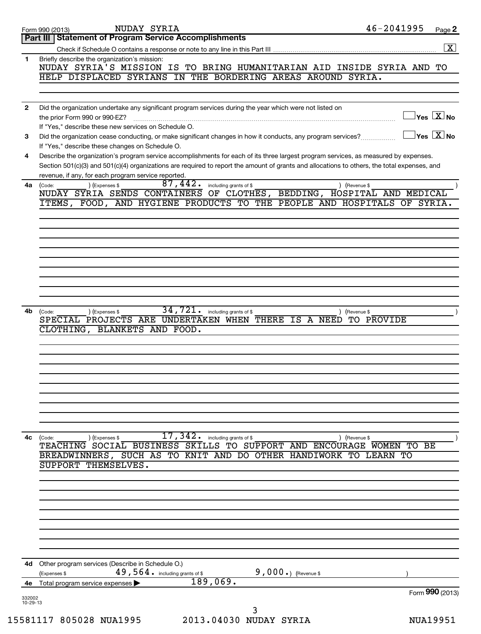|                | NUDAY SYRIA<br>Form 990 (2013)                                                                                                                                                                                                                                                       | 46-2041995                                  | Page 2               |
|----------------|--------------------------------------------------------------------------------------------------------------------------------------------------------------------------------------------------------------------------------------------------------------------------------------|---------------------------------------------|----------------------|
|                | Part III   Statement of Program Service Accomplishments                                                                                                                                                                                                                              |                                             |                      |
|                |                                                                                                                                                                                                                                                                                      |                                             | $\boxed{\textbf{X}}$ |
| 1              | Briefly describe the organization's mission:<br>NUDAY SYRIA'S MISSION IS TO BRING HUMANITARIAN AID INSIDE SYRIA AND TO                                                                                                                                                               |                                             |                      |
|                | HELP DISPLACED SYRIANS<br>IN THE BORDERING AREAS AROUND SYRIA.                                                                                                                                                                                                                       |                                             |                      |
|                |                                                                                                                                                                                                                                                                                      |                                             |                      |
|                |                                                                                                                                                                                                                                                                                      |                                             |                      |
| $\mathbf{2}$   | Did the organization undertake any significant program services during the year which were not listed on<br>the prior Form 990 or 990-EZ?                                                                                                                                            | $\sqrt{\ }$ Yes $\boxed{\text{X}}$ No       |                      |
|                | If "Yes," describe these new services on Schedule O.                                                                                                                                                                                                                                 |                                             |                      |
| 3              | Did the organization cease conducting, or make significant changes in how it conducts, any program services?                                                                                                                                                                         | $\vert$ Yes $\vert$ $\rm X$ $\vert$ No $\;$ |                      |
|                | If "Yes," describe these changes on Schedule O.                                                                                                                                                                                                                                      |                                             |                      |
| 4              | Describe the organization's program service accomplishments for each of its three largest program services, as measured by expenses.<br>Section 501(c)(3) and 501(c)(4) organizations are required to report the amount of grants and allocations to others, the total expenses, and |                                             |                      |
|                | revenue, if any, for each program service reported.                                                                                                                                                                                                                                  |                                             |                      |
| 4a             | 87,442.<br>including grants of \$<br>) (Expenses \$<br>(Code:<br>) (Revenue \$                                                                                                                                                                                                       |                                             |                      |
|                | NUDAY SYRIA SENDS CONTAINERS<br>OF CLOTHES, BEDDING, HOSPITAL AND MEDICAL                                                                                                                                                                                                            |                                             |                      |
|                | ITEMS, FOOD, AND HYGIENE PRODUCTS TO THE PEOPLE AND HOSPITALS                                                                                                                                                                                                                        | OF SYRIA.                                   |                      |
|                |                                                                                                                                                                                                                                                                                      |                                             |                      |
|                |                                                                                                                                                                                                                                                                                      |                                             |                      |
|                |                                                                                                                                                                                                                                                                                      |                                             |                      |
|                |                                                                                                                                                                                                                                                                                      |                                             |                      |
|                |                                                                                                                                                                                                                                                                                      |                                             |                      |
|                |                                                                                                                                                                                                                                                                                      |                                             |                      |
|                |                                                                                                                                                                                                                                                                                      |                                             |                      |
|                |                                                                                                                                                                                                                                                                                      |                                             |                      |
| 4b             | 34,721.<br>including grants of \$<br>) (Expenses \$<br>(Code:<br>SPECIAL PROJECTS ARE UNDERTAKEN WHEN THERE IS A NEED                                                                                                                                                                | (Revenue \$<br>TO PROVIDE                   |                      |
|                | CLOTHING, BLANKETS AND FOOD.                                                                                                                                                                                                                                                         |                                             |                      |
|                |                                                                                                                                                                                                                                                                                      |                                             |                      |
|                |                                                                                                                                                                                                                                                                                      |                                             |                      |
|                |                                                                                                                                                                                                                                                                                      |                                             |                      |
|                |                                                                                                                                                                                                                                                                                      |                                             |                      |
|                |                                                                                                                                                                                                                                                                                      |                                             |                      |
|                |                                                                                                                                                                                                                                                                                      |                                             |                      |
|                |                                                                                                                                                                                                                                                                                      |                                             |                      |
|                |                                                                                                                                                                                                                                                                                      |                                             |                      |
| 4c             | $\overline{17}$ , $\overline{342}$ . including grants of \$<br>(Code:<br>(Expenses \$<br>) (Revenue \$                                                                                                                                                                               |                                             |                      |
|                | TEACHING SOCIAL BUSINESS SKILLS TO SUPPORT AND ENCOURAGE WOMEN TO BE                                                                                                                                                                                                                 |                                             |                      |
|                | BREADWINNERS, SUCH AS TO KNIT AND DO OTHER HANDIWORK TO LEARN TO                                                                                                                                                                                                                     |                                             |                      |
|                | SUPPORT THEMSELVES.                                                                                                                                                                                                                                                                  |                                             |                      |
|                |                                                                                                                                                                                                                                                                                      |                                             |                      |
|                |                                                                                                                                                                                                                                                                                      |                                             |                      |
|                |                                                                                                                                                                                                                                                                                      |                                             |                      |
|                |                                                                                                                                                                                                                                                                                      |                                             |                      |
|                |                                                                                                                                                                                                                                                                                      |                                             |                      |
|                |                                                                                                                                                                                                                                                                                      |                                             |                      |
|                |                                                                                                                                                                                                                                                                                      |                                             |                      |
| 4d             | Other program services (Describe in Schedule O.)                                                                                                                                                                                                                                     |                                             |                      |
|                | $49,564$ . including grants of \$<br>$9,000.$ (Revenue \$<br>(Expenses \$                                                                                                                                                                                                            |                                             |                      |
| 4е             | 189,069.<br>Total program service expenses                                                                                                                                                                                                                                           |                                             |                      |
| 332002         |                                                                                                                                                                                                                                                                                      | Form 990 (2013)                             |                      |
| $10 - 29 - 13$ | 3                                                                                                                                                                                                                                                                                    |                                             |                      |
|                | 15581117 805028 NUA1995<br>2013.04030 NUDAY SYRIA                                                                                                                                                                                                                                    | <b>NUA19951</b>                             |                      |
|                |                                                                                                                                                                                                                                                                                      |                                             |                      |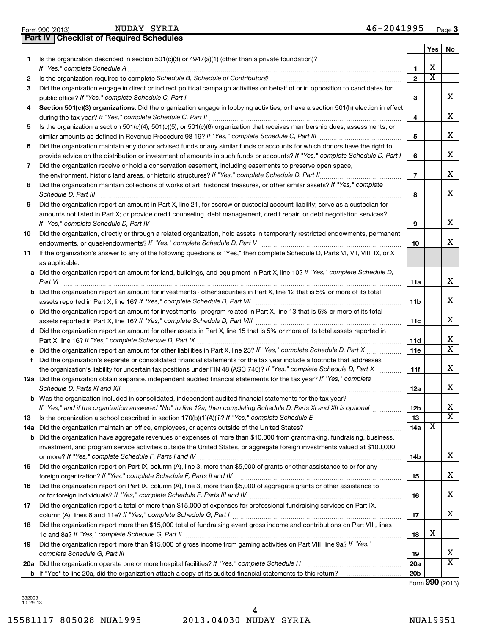|  | Pal | v |
|--|-----|---|
|--|-----|---|

**Part IV** (2013) **Part IV** Checklist of Required Schedules NUDAY SYRIA

|     |                                                                                                                                                                                                                                                                                                                                                                     |                 | Yes                     | No                      |
|-----|---------------------------------------------------------------------------------------------------------------------------------------------------------------------------------------------------------------------------------------------------------------------------------------------------------------------------------------------------------------------|-----------------|-------------------------|-------------------------|
| 1   | Is the organization described in section 501(c)(3) or 4947(a)(1) (other than a private foundation)?                                                                                                                                                                                                                                                                 |                 |                         |                         |
|     |                                                                                                                                                                                                                                                                                                                                                                     | 1               | х                       |                         |
| 2   |                                                                                                                                                                                                                                                                                                                                                                     | $\mathbf{2}$    | $\overline{\textbf{x}}$ |                         |
| 3   | Did the organization engage in direct or indirect political campaign activities on behalf of or in opposition to candidates for                                                                                                                                                                                                                                     | 3               |                         | x                       |
| 4   | Section 501(c)(3) organizations. Did the organization engage in lobbying activities, or have a section 501(h) election in effect                                                                                                                                                                                                                                    | 4               |                         | x                       |
| 5   | Is the organization a section 501(c)(4), 501(c)(5), or 501(c)(6) organization that receives membership dues, assessments, or                                                                                                                                                                                                                                        |                 |                         |                         |
|     |                                                                                                                                                                                                                                                                                                                                                                     | 5               |                         | x                       |
| 6   | Did the organization maintain any donor advised funds or any similar funds or accounts for which donors have the right to                                                                                                                                                                                                                                           |                 |                         |                         |
|     | provide advice on the distribution or investment of amounts in such funds or accounts? If "Yes," complete Schedule D, Part I                                                                                                                                                                                                                                        | 6               |                         | x                       |
| 7   | Did the organization receive or hold a conservation easement, including easements to preserve open space,                                                                                                                                                                                                                                                           |                 |                         |                         |
|     |                                                                                                                                                                                                                                                                                                                                                                     | $\overline{7}$  |                         | x                       |
| 8   | Did the organization maintain collections of works of art, historical treasures, or other similar assets? If "Yes," complete<br>Schedule D, Part III <b>Marting Community</b> Construction of the Construction of the Construction of the Construction of the Construction of the Construction of the Construction of the Construction of the Construction of the C | 8               |                         | х                       |
| 9   | Did the organization report an amount in Part X, line 21, for escrow or custodial account liability; serve as a custodian for                                                                                                                                                                                                                                       |                 |                         |                         |
|     | amounts not listed in Part X; or provide credit counseling, debt management, credit repair, or debt negotiation services?                                                                                                                                                                                                                                           |                 |                         |                         |
|     | If "Yes," complete Schedule D, Part IV                                                                                                                                                                                                                                                                                                                              | 9               |                         | x                       |
| 10  | Did the organization, directly or through a related organization, hold assets in temporarily restricted endowments, permanent                                                                                                                                                                                                                                       | 10              |                         | x                       |
| 11  | If the organization's answer to any of the following questions is "Yes," then complete Schedule D, Parts VI, VII, VIII, IX, or X<br>as applicable.                                                                                                                                                                                                                  |                 |                         |                         |
|     | a Did the organization report an amount for land, buildings, and equipment in Part X, line 10? If "Yes," complete Schedule D,                                                                                                                                                                                                                                       |                 |                         |                         |
|     | Part VI                                                                                                                                                                                                                                                                                                                                                             | 11a             |                         | x                       |
|     | <b>b</b> Did the organization report an amount for investments - other securities in Part X, line 12 that is 5% or more of its total                                                                                                                                                                                                                                |                 |                         | x                       |
|     | c Did the organization report an amount for investments - program related in Part X, line 13 that is 5% or more of its total                                                                                                                                                                                                                                        | 11b             |                         |                         |
|     |                                                                                                                                                                                                                                                                                                                                                                     | 11c             |                         | x                       |
|     | d Did the organization report an amount for other assets in Part X, line 15 that is 5% or more of its total assets reported in                                                                                                                                                                                                                                      |                 |                         |                         |
|     |                                                                                                                                                                                                                                                                                                                                                                     | 11d             |                         | х                       |
|     |                                                                                                                                                                                                                                                                                                                                                                     | 11 <sub>c</sub> |                         | $\overline{\mathtt{x}}$ |
| f   | Did the organization's separate or consolidated financial statements for the tax year include a footnote that addresses                                                                                                                                                                                                                                             |                 |                         |                         |
|     | the organization's liability for uncertain tax positions under FIN 48 (ASC 740)? If "Yes," complete Schedule D, Part X                                                                                                                                                                                                                                              | 11f             |                         | x                       |
|     | 12a Did the organization obtain separate, independent audited financial statements for the tax year? If "Yes," complete<br>Schedule D, Parts XI and XII                                                                                                                                                                                                             | 12a             |                         | x                       |
|     | <b>b</b> Was the organization included in consolidated, independent audited financial statements for the tax year?                                                                                                                                                                                                                                                  |                 |                         |                         |
|     | If "Yes," and if the organization answered "No" to line 12a, then completing Schedule D, Parts XI and XII is optional <i>manuma</i>                                                                                                                                                                                                                                 | 12b             |                         | x                       |
| 13  |                                                                                                                                                                                                                                                                                                                                                                     | 13              |                         | $\overline{\texttt{x}}$ |
| 14a |                                                                                                                                                                                                                                                                                                                                                                     | 14a             | x                       |                         |
| b   | Did the organization have aggregate revenues or expenses of more than \$10,000 from grantmaking, fundraising, business,                                                                                                                                                                                                                                             |                 |                         |                         |
|     | investment, and program service activities outside the United States, or aggregate foreign investments valued at \$100,000                                                                                                                                                                                                                                          |                 |                         | x                       |
| 15  | Did the organization report on Part IX, column (A), line 3, more than \$5,000 of grants or other assistance to or for any                                                                                                                                                                                                                                           | 14b             |                         |                         |
|     |                                                                                                                                                                                                                                                                                                                                                                     | 15              |                         | х                       |
| 16  | Did the organization report on Part IX, column (A), line 3, more than \$5,000 of aggregate grants or other assistance to                                                                                                                                                                                                                                            |                 |                         |                         |
|     |                                                                                                                                                                                                                                                                                                                                                                     | 16              |                         | х                       |
| 17  | Did the organization report a total of more than \$15,000 of expenses for professional fundraising services on Part IX,                                                                                                                                                                                                                                             |                 |                         | x                       |
| 18  | Did the organization report more than \$15,000 total of fundraising event gross income and contributions on Part VIII, lines                                                                                                                                                                                                                                        | 17              |                         |                         |
|     |                                                                                                                                                                                                                                                                                                                                                                     | 18              | х                       |                         |
| 19  | Did the organization report more than \$15,000 of gross income from gaming activities on Part VIII, line 9a? If "Yes,"                                                                                                                                                                                                                                              | 19              |                         | х                       |
|     |                                                                                                                                                                                                                                                                                                                                                                     | <b>20a</b>      |                         | $\overline{\mathtt{x}}$ |
|     |                                                                                                                                                                                                                                                                                                                                                                     | 20 <sub>b</sub> |                         |                         |
|     |                                                                                                                                                                                                                                                                                                                                                                     |                 |                         |                         |

Form (2013) **990**

332003 10-29-13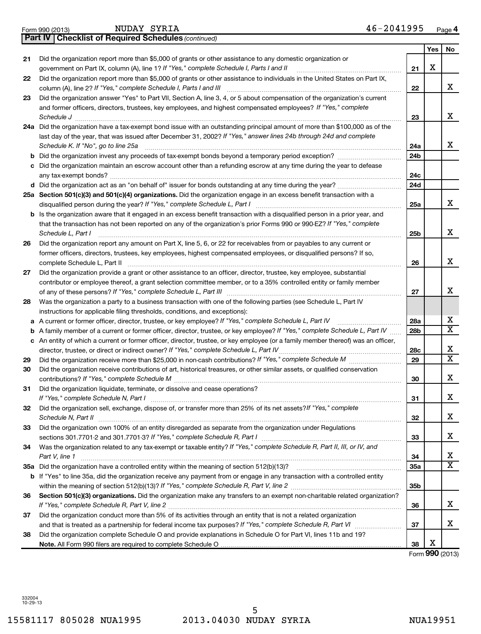**21**

**22**

| د∟-د∠-⊔ا |                         |                        |                 |
|----------|-------------------------|------------------------|-----------------|
|          |                         |                        |                 |
|          | 15581117 805028 NUA1995 | 2013.04030 NUDAY SYRIA | <b>NUA19951</b> |

|    |                                                                                                                                                                                        | 22  |   | X                       |
|----|----------------------------------------------------------------------------------------------------------------------------------------------------------------------------------------|-----|---|-------------------------|
| 23 | Did the organization answer "Yes" to Part VII, Section A, line 3, 4, or 5 about compensation of the organization's current                                                             |     |   |                         |
|    | and former officers, directors, trustees, key employees, and highest compensated employees? If "Yes," complete                                                                         |     |   |                         |
|    | Schedule J                                                                                                                                                                             | 23  |   | x                       |
|    | 24a Did the organization have a tax-exempt bond issue with an outstanding principal amount of more than \$100,000 as of the                                                            |     |   |                         |
|    | last day of the year, that was issued after December 31, 2002? If "Yes," answer lines 24b through 24d and complete                                                                     |     |   |                         |
|    | Schedule K. If "No", go to line 25a                                                                                                                                                    | 24a |   | x                       |
| b  |                                                                                                                                                                                        | 24b |   |                         |
|    | Did the organization maintain an escrow account other than a refunding escrow at any time during the year to defease                                                                   |     |   |                         |
|    |                                                                                                                                                                                        | 24с |   |                         |
|    |                                                                                                                                                                                        | 24d |   |                         |
|    | 25a Section 501(c)(3) and 501(c)(4) organizations. Did the organization engage in an excess benefit transaction with a                                                                 |     |   |                         |
|    |                                                                                                                                                                                        | 25a |   | x                       |
|    | b Is the organization aware that it engaged in an excess benefit transaction with a disqualified person in a prior year, and                                                           |     |   |                         |
|    | that the transaction has not been reported on any of the organization's prior Forms 990 or 990-EZ? If "Yes," complete                                                                  |     |   |                         |
|    | Schedule L, Part I                                                                                                                                                                     | 25b |   | x                       |
| 26 | Did the organization report any amount on Part X, line 5, 6, or 22 for receivables from or payables to any current or                                                                  |     |   |                         |
|    | former officers, directors, trustees, key employees, highest compensated employees, or disqualified persons? If so,                                                                    |     |   |                         |
|    | complete Schedule L, Part II                                                                                                                                                           | 26  |   | X                       |
| 27 | Did the organization provide a grant or other assistance to an officer, director, trustee, key employee, substantial                                                                   |     |   |                         |
|    | contributor or employee thereof, a grant selection committee member, or to a 35% controlled entity or family member                                                                    |     |   | X                       |
|    |                                                                                                                                                                                        | 27  |   |                         |
| 28 | Was the organization a party to a business transaction with one of the following parties (see Schedule L, Part IV                                                                      |     |   |                         |
|    | instructions for applicable filing thresholds, conditions, and exceptions):<br>A current or former officer, director, trustee, or key employee? If "Yes," complete Schedule L, Part IV | 28a |   | х                       |
| а  | A family member of a current or former officer, director, trustee, or key employee? If "Yes," complete Schedule L, Part IV                                                             | 28b |   | $\overline{\text{X}}$   |
| b  | c An entity of which a current or former officer, director, trustee, or key employee (or a family member thereof) was an officer,                                                      |     |   |                         |
|    | director, trustee, or direct or indirect owner? If "Yes," complete Schedule L, Part IV                                                                                                 | 28c |   | х                       |
| 29 |                                                                                                                                                                                        | 29  |   | $\overline{\textbf{x}}$ |
| 30 | Did the organization receive contributions of art, historical treasures, or other similar assets, or qualified conservation                                                            |     |   |                         |
|    |                                                                                                                                                                                        | 30  |   | х                       |
| 31 | Did the organization liquidate, terminate, or dissolve and cease operations?                                                                                                           |     |   |                         |
|    | If "Yes," complete Schedule N, Part I                                                                                                                                                  | 31  |   | х                       |
| 32 | Did the organization sell, exchange, dispose of, or transfer more than 25% of its net assets? If "Yes," complete                                                                       |     |   |                         |
|    | Schedule N, Part II                                                                                                                                                                    | 32  |   | x                       |
| 33 | Did the organization own 100% of an entity disregarded as separate from the organization under Regulations                                                                             |     |   |                         |
|    | sections 301.7701-2 and 301.7701-3? If "Yes," complete Schedule R, Part I [111] [11] [11] sections 301.7701-2 and 301.7701-3? If "Yes," complete Schedule R, Part I                    | 33  |   | x                       |
| 34 | Was the organization related to any tax-exempt or taxable entity? If "Yes," complete Schedule R, Part II, III, or IV, and                                                              |     |   |                         |
|    | Part V, line 1                                                                                                                                                                         | 34  |   | X                       |
|    |                                                                                                                                                                                        | 35a |   | $\overline{\texttt{x}}$ |
|    | b If "Yes" to line 35a, did the organization receive any payment from or engage in any transaction with a controlled entity                                                            |     |   |                         |
|    |                                                                                                                                                                                        | 35b |   |                         |
| 36 | Section 501(c)(3) organizations. Did the organization make any transfers to an exempt non-charitable related organization?                                                             |     |   |                         |
|    |                                                                                                                                                                                        | 36  |   | х                       |
| 37 | Did the organization conduct more than 5% of its activities through an entity that is not a related organization                                                                       |     |   |                         |
|    |                                                                                                                                                                                        | 37  |   | х                       |
| 38 | Did the organization complete Schedule O and provide explanations in Schedule O for Part VI, lines 11b and 19?                                                                         |     |   |                         |
|    |                                                                                                                                                                                        | 38  | X |                         |
|    |                                                                                                                                                                                        |     |   | Form 990 (2013)         |
|    |                                                                                                                                                                                        |     |   |                         |

*If "Yes," complete Schedule I, Parts I and II* government on Part IX, column (A), line 1? ~~~~~~~~~~~~~~~~~~

Did the organization report more than \$5,000 of grants or other assistance to individuals in the United States on Part IX,

Did the organization report more than \$5,000 of grants or other assistance to any domestic organization or

| LOIIII ລິລິດ ICO I 21 |                                                              |
|-----------------------|--------------------------------------------------------------|
|                       | <b>Part IV   Checklist of Required Schedules (continued)</b> |

**21**

**Yes No**

X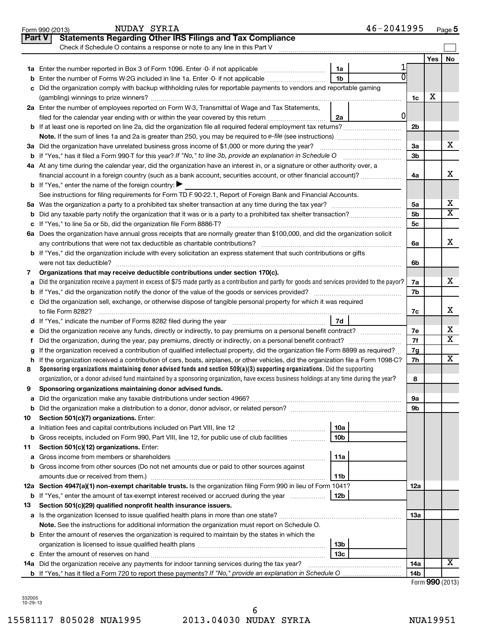|               | 46-2041995<br>NUDAY SYRIA<br>Form 990 (2013)                                                                                                    |                 |            | Page 5                       |
|---------------|-------------------------------------------------------------------------------------------------------------------------------------------------|-----------------|------------|------------------------------|
| <b>Part V</b> | <b>Statements Regarding Other IRS Filings and Tax Compliance</b>                                                                                |                 |            |                              |
|               | Check if Schedule O contains a response or note to any line in this Part V                                                                      |                 |            |                              |
|               |                                                                                                                                                 |                 | <b>Yes</b> | No                           |
|               | 1a                                                                                                                                              |                 |            |                              |
| b             | 1 <sub>b</sub><br>Enter the number of Forms W-2G included in line 1a. Enter -0- if not applicable                                               |                 |            |                              |
|               | Did the organization comply with backup withholding rules for reportable payments to vendors and reportable gaming                              |                 |            |                              |
|               |                                                                                                                                                 | 1c              | х          |                              |
|               | 2a Enter the number of employees reported on Form W-3, Transmittal of Wage and Tax Statements,                                                  |                 |            |                              |
|               | 0<br>filed for the calendar year ending with or within the year covered by this return <i>manumumumum</i><br>2a                                 |                 |            |                              |
|               |                                                                                                                                                 | 2 <sub>b</sub>  |            |                              |
|               |                                                                                                                                                 |                 |            |                              |
|               | 3a Did the organization have unrelated business gross income of \$1,000 or more during the year?                                                | 3a              |            | х                            |
|               | <b>b</b> If "Yes," has it filed a Form 990-T for this year? If "No," to line 3b, provide an explanation in Schedule O                           | 3b              |            |                              |
|               | 4a At any time during the calendar year, did the organization have an interest in, or a signature or other authority over, a                    |                 |            |                              |
|               | financial account in a foreign country (such as a bank account, securities account, or other financial account)?                                | 4a              |            | x                            |
|               | <b>b</b> If "Yes," enter the name of the foreign country:                                                                                       |                 |            |                              |
|               | See instructions for filing requirements for Form TD F 90-22.1, Report of Foreign Bank and Financial Accounts.                                  |                 |            |                              |
|               |                                                                                                                                                 | 5a              |            | х<br>$\overline{\textbf{X}}$ |
| b             |                                                                                                                                                 | 5 <sub>b</sub>  |            |                              |
|               |                                                                                                                                                 | 5c              |            |                              |
|               | 6a Does the organization have annual gross receipts that are normally greater than \$100,000, and did the organization solicit                  |                 |            | x                            |
|               |                                                                                                                                                 | 6a              |            |                              |
|               | <b>b</b> If "Yes," did the organization include with every solicitation an express statement that such contributions or gifts                   |                 |            |                              |
|               | Organizations that may receive deductible contributions under section 170(c).                                                                   | 6b              |            |                              |
| 7<br>a        | Did the organization receive a payment in excess of \$75 made partly as a contribution and partly for goods and services provided to the payor? | 7a              |            | х                            |
|               |                                                                                                                                                 | 7b              |            |                              |
|               | c Did the organization sell, exchange, or otherwise dispose of tangible personal property for which it was required                             |                 |            |                              |
|               |                                                                                                                                                 | 7c              |            | х                            |
|               | 7d                                                                                                                                              |                 |            |                              |
| е             |                                                                                                                                                 | 7е              |            | х                            |
|               |                                                                                                                                                 | 7f              |            | $\overline{\textbf{x}}$      |
|               | If the organization received a contribution of qualified intellectual property, did the organization file Form 8899 as required?                | 7g              |            |                              |
| h.            | If the organization received a contribution of cars, boats, airplanes, or other vehicles, did the organization file a Form 1098-C?              | 7h              |            | х                            |
| 8             | Sponsoring organizations maintaining donor advised funds and section $509(a)(3)$ supporting organizations. Did the supporting                   |                 |            |                              |
|               | organization, or a donor advised fund maintained by a sponsoring organization, have excess business holdings at any time during the year?       | 8               |            |                              |
|               | Sponsoring organizations maintaining donor advised funds.                                                                                       |                 |            |                              |
| а             |                                                                                                                                                 | <b>9a</b>       |            |                              |
| b             |                                                                                                                                                 | 9b              |            |                              |
| 10            | Section 501(c)(7) organizations. Enter:                                                                                                         |                 |            |                              |
| а             | 10a                                                                                                                                             |                 |            |                              |
| b             | 10 <sub>b</sub><br>Gross receipts, included on Form 990, Part VIII, line 12, for public use of club facilities                                  |                 |            |                              |
| 11            | Section 501(c)(12) organizations. Enter:                                                                                                        |                 |            |                              |
| а             | 11a                                                                                                                                             |                 |            |                              |
|               | b Gross income from other sources (Do not net amounts due or paid to other sources against                                                      |                 |            |                              |
|               | 11b                                                                                                                                             |                 |            |                              |
|               | 12a Section 4947(a)(1) non-exempt charitable trusts. Is the organization filing Form 990 in lieu of Form 1041?                                  | 12a             |            |                              |
|               | 12b<br><b>b</b> If "Yes," enter the amount of tax-exempt interest received or accrued during the year                                           |                 |            |                              |
| 13            | Section 501(c)(29) qualified nonprofit health insurance issuers.                                                                                |                 |            |                              |
|               | a Is the organization licensed to issue qualified health plans in more than one state?                                                          | 1За             |            |                              |
|               | Note. See the instructions for additional information the organization must report on Schedule O.                                               |                 |            |                              |
|               | <b>b</b> Enter the amount of reserves the organization is required to maintain by the states in which the<br>13b                                |                 |            |                              |
|               | 13c                                                                                                                                             |                 |            |                              |
|               | 14a Did the organization receive any payments for indoor tanning services during the tax year?                                                  | 14a             |            | х                            |
|               | <b>b</b> If "Yes," has it filed a Form 720 to report these payments? If "No," provide an explanation in Schedule O                              | 14 <sub>b</sub> |            |                              |
|               |                                                                                                                                                 |                 |            | Form 990 (2013)              |

| 332005   |
|----------|
|          |
| 10-29-13 |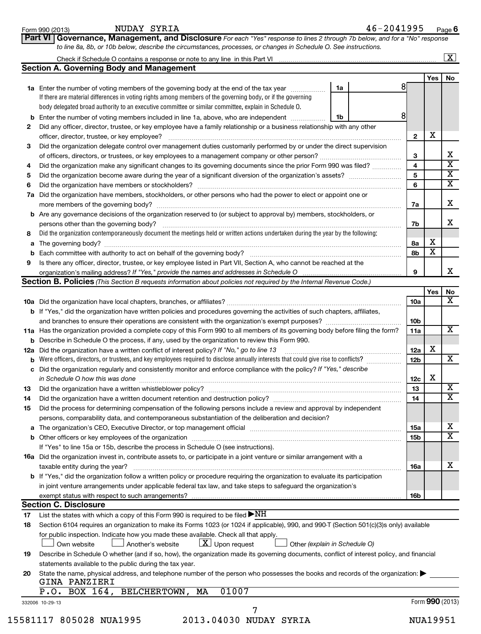| Form 990 (2013) |  |
|-----------------|--|
|-----------------|--|

#### NUDAY SYRIA 46-2041995

**Part VI Governance, Management, and Disclosure** 

*For each "Yes" response to lines 2 through 7b below, and for a "No" response*

|                | <b>Section A. Governing Body and Management</b>                                                                                                                                                                                                                                                                                                                                                                                                                                                                                                                                                                                                                                                     |    |                 |                 |                         |
|----------------|-----------------------------------------------------------------------------------------------------------------------------------------------------------------------------------------------------------------------------------------------------------------------------------------------------------------------------------------------------------------------------------------------------------------------------------------------------------------------------------------------------------------------------------------------------------------------------------------------------------------------------------------------------------------------------------------------------|----|-----------------|-----------------|-------------------------|
|                |                                                                                                                                                                                                                                                                                                                                                                                                                                                                                                                                                                                                                                                                                                     |    |                 | Yes             | No                      |
|                | 1a<br>1a Enter the number of voting members of the governing body at the end of the tax year manuscom<br>If there are material differences in voting rights among members of the governing body, or if the governing<br>body delegated broad authority to an executive committee or similar committee, explain in Schedule O.                                                                                                                                                                                                                                                                                                                                                                       | 81 |                 |                 |                         |
|                | Enter the number of voting members included in line 1a, above, who are independent<br>1b                                                                                                                                                                                                                                                                                                                                                                                                                                                                                                                                                                                                            | 8  |                 |                 |                         |
| 2              | Did any officer, director, trustee, or key employee have a family relationship or a business relationship with any other                                                                                                                                                                                                                                                                                                                                                                                                                                                                                                                                                                            |    |                 |                 |                         |
|                | officer, director, trustee, or key employee?                                                                                                                                                                                                                                                                                                                                                                                                                                                                                                                                                                                                                                                        |    | $\mathbf{2}$    | X               |                         |
| 3              | Did the organization delegate control over management duties customarily performed by or under the direct supervision                                                                                                                                                                                                                                                                                                                                                                                                                                                                                                                                                                               |    |                 |                 |                         |
|                |                                                                                                                                                                                                                                                                                                                                                                                                                                                                                                                                                                                                                                                                                                     |    | 3               |                 | х                       |
| 4              | Did the organization make any significant changes to its governing documents since the prior Form 990 was filed?                                                                                                                                                                                                                                                                                                                                                                                                                                                                                                                                                                                    |    | 4               |                 | $\overline{\mathbf{X}}$ |
| 5              |                                                                                                                                                                                                                                                                                                                                                                                                                                                                                                                                                                                                                                                                                                     |    | 5               |                 | X                       |
| 6              |                                                                                                                                                                                                                                                                                                                                                                                                                                                                                                                                                                                                                                                                                                     |    | 6               |                 | X                       |
| 7а             | Did the organization have members, stockholders, or other persons who had the power to elect or appoint one or                                                                                                                                                                                                                                                                                                                                                                                                                                                                                                                                                                                      |    | 7a              |                 | X                       |
|                | <b>b</b> Are any governance decisions of the organization reserved to (or subject to approval by) members, stockholders, or                                                                                                                                                                                                                                                                                                                                                                                                                                                                                                                                                                         |    |                 |                 |                         |
|                | persons other than the governing body?                                                                                                                                                                                                                                                                                                                                                                                                                                                                                                                                                                                                                                                              |    | 7b              |                 | X                       |
| 8              | Did the organization contemporaneously document the meetings held or written actions undertaken during the year by the following:                                                                                                                                                                                                                                                                                                                                                                                                                                                                                                                                                                   |    |                 |                 |                         |
| a              |                                                                                                                                                                                                                                                                                                                                                                                                                                                                                                                                                                                                                                                                                                     |    | 8а              | Х               |                         |
| b              |                                                                                                                                                                                                                                                                                                                                                                                                                                                                                                                                                                                                                                                                                                     |    | 8b              | X               |                         |
| 9              | Is there any officer, director, trustee, or key employee listed in Part VII, Section A, who cannot be reached at the                                                                                                                                                                                                                                                                                                                                                                                                                                                                                                                                                                                |    |                 |                 |                         |
|                | organization's mailing address? If "Yes," provide the names and addresses in Schedule O                                                                                                                                                                                                                                                                                                                                                                                                                                                                                                                                                                                                             |    | 9               |                 | х                       |
|                | <b>Section B. Policies</b> (This Section B requests information about policies not required by the Internal Revenue Code.)                                                                                                                                                                                                                                                                                                                                                                                                                                                                                                                                                                          |    |                 |                 |                         |
|                |                                                                                                                                                                                                                                                                                                                                                                                                                                                                                                                                                                                                                                                                                                     |    |                 | Yes             | No                      |
|                |                                                                                                                                                                                                                                                                                                                                                                                                                                                                                                                                                                                                                                                                                                     |    | 10a             |                 | x                       |
|                | <b>b</b> If "Yes," did the organization have written policies and procedures governing the activities of such chapters, affiliates,                                                                                                                                                                                                                                                                                                                                                                                                                                                                                                                                                                 |    |                 |                 |                         |
|                |                                                                                                                                                                                                                                                                                                                                                                                                                                                                                                                                                                                                                                                                                                     |    | 10 <sub>b</sub> |                 |                         |
|                | 11a Has the organization provided a complete copy of this Form 990 to all members of its governing body before filing the form?                                                                                                                                                                                                                                                                                                                                                                                                                                                                                                                                                                     |    | 11a             |                 | x                       |
|                | <b>b</b> Describe in Schedule O the process, if any, used by the organization to review this Form 990.                                                                                                                                                                                                                                                                                                                                                                                                                                                                                                                                                                                              |    |                 |                 |                         |
| 12a            | Did the organization have a written conflict of interest policy? If "No," go to line 13                                                                                                                                                                                                                                                                                                                                                                                                                                                                                                                                                                                                             |    | 12a             | X               |                         |
|                | Were officers, directors, or trustees, and key employees required to disclose annually interests that could give rise to conflicts?                                                                                                                                                                                                                                                                                                                                                                                                                                                                                                                                                                 |    | 12 <sub>b</sub> |                 | x                       |
| c              | Did the organization regularly and consistently monitor and enforce compliance with the policy? If "Yes," describe<br>in Schedule O how this was done                                                                                                                                                                                                                                                                                                                                                                                                                                                                                                                                               |    | 12c             | X               |                         |
| 13             |                                                                                                                                                                                                                                                                                                                                                                                                                                                                                                                                                                                                                                                                                                     |    | 13              |                 | x                       |
| 14             | Did the organization have a written document retention and destruction policy? [11] manufaction manufaction in                                                                                                                                                                                                                                                                                                                                                                                                                                                                                                                                                                                      |    | 14              |                 | х                       |
| 15             | Did the process for determining compensation of the following persons include a review and approval by independent<br>persons, comparability data, and contemporaneous substantiation of the deliberation and decision?                                                                                                                                                                                                                                                                                                                                                                                                                                                                             |    |                 |                 |                         |
|                | a The organization's CEO, Executive Director, or top management official manufactured content content of the organization's CEO, Executive Director, or top management official manufactured content of the state of the conte                                                                                                                                                                                                                                                                                                                                                                                                                                                                      |    | 15a             |                 | х                       |
|                | b Other officers or key employees of the organization manufactured content to the organization of the organization manufactured content to the organization manufactured content of the organization manufactured content of t                                                                                                                                                                                                                                                                                                                                                                                                                                                                      |    | 15b             |                 | х                       |
|                | If "Yes" to line 15a or 15b, describe the process in Schedule O (see instructions).                                                                                                                                                                                                                                                                                                                                                                                                                                                                                                                                                                                                                 |    |                 |                 |                         |
|                | 16a Did the organization invest in, contribute assets to, or participate in a joint venture or similar arrangement with a                                                                                                                                                                                                                                                                                                                                                                                                                                                                                                                                                                           |    |                 |                 |                         |
|                | taxable entity during the year?                                                                                                                                                                                                                                                                                                                                                                                                                                                                                                                                                                                                                                                                     |    | <b>16a</b>      |                 | x                       |
|                | b If "Yes," did the organization follow a written policy or procedure requiring the organization to evaluate its participation                                                                                                                                                                                                                                                                                                                                                                                                                                                                                                                                                                      |    |                 |                 |                         |
|                | in joint venture arrangements under applicable federal tax law, and take steps to safeguard the organization's                                                                                                                                                                                                                                                                                                                                                                                                                                                                                                                                                                                      |    |                 |                 |                         |
|                | exempt status with respect to such arrangements?                                                                                                                                                                                                                                                                                                                                                                                                                                                                                                                                                                                                                                                    |    | 16b             |                 |                         |
|                | <b>Section C. Disclosure</b>                                                                                                                                                                                                                                                                                                                                                                                                                                                                                                                                                                                                                                                                        |    |                 |                 |                         |
| 17             | List the states with which a copy of this Form 990 is required to be filed $\blacktriangleright\text{NH}$                                                                                                                                                                                                                                                                                                                                                                                                                                                                                                                                                                                           |    |                 |                 |                         |
| 18<br>19<br>20 | Section 6104 requires an organization to make its Forms 1023 (or 1024 if applicable), 990, and 990-T (Section 501(c)(3)s only) available<br>for public inspection. Indicate how you made these available. Check all that apply.<br>$\lfloor x \rfloor$ Upon request<br>Another's website<br>Other (explain in Schedule O)<br>Own website<br>Describe in Schedule O whether (and if so, how), the organization made its governing documents, conflict of interest policy, and financial<br>statements available to the public during the tax year.<br>State the name, physical address, and telephone number of the person who possesses the books and records of the organization:<br>GINA PANZIERI |    |                 |                 |                         |
|                | 01007<br>P.O. BOX 164, BELCHERTOWN, MA                                                                                                                                                                                                                                                                                                                                                                                                                                                                                                                                                                                                                                                              |    |                 |                 |                         |
|                |                                                                                                                                                                                                                                                                                                                                                                                                                                                                                                                                                                                                                                                                                                     |    |                 |                 |                         |
|                |                                                                                                                                                                                                                                                                                                                                                                                                                                                                                                                                                                                                                                                                                                     |    |                 |                 |                         |
|                | 332006 10-29-13<br>7                                                                                                                                                                                                                                                                                                                                                                                                                                                                                                                                                                                                                                                                                |    |                 | Form 990 (2013) |                         |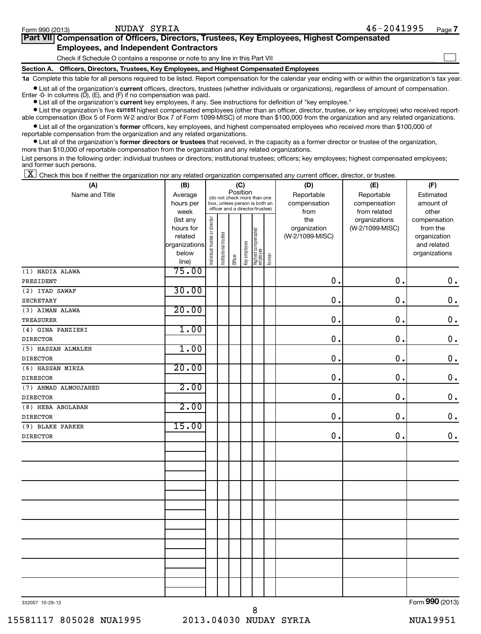| Form 990 (2013) | NUDAY SYRIA                                                                                                                                                | $46 - 2041995$                                                                                                                                                                                                                  | Page . |
|-----------------|------------------------------------------------------------------------------------------------------------------------------------------------------------|---------------------------------------------------------------------------------------------------------------------------------------------------------------------------------------------------------------------------------|--------|
|                 | Part VII Compensation of Officers, Directors, Trustees, Key Employees, Highest Compensated                                                                 |                                                                                                                                                                                                                                 |        |
|                 | <b>Employees, and Independent Contractors</b>                                                                                                              |                                                                                                                                                                                                                                 |        |
|                 | Check if Schedule O contains a response or note to any line in this Part VII                                                                               |                                                                                                                                                                                                                                 |        |
|                 | Section A. Officers, Directors, Trustees, Key Employees, and Highest Compensated Employees                                                                 |                                                                                                                                                                                                                                 |        |
|                 | 1a Complete this table for all persons required to be listed. Report compensation for the calendar year ending with or within the organization's tax year. |                                                                                                                                                                                                                                 |        |
|                 |                                                                                                                                                            | $\sim$ . The contract of the contract of the contract of the contract of the contract of the contract of the contract of the contract of the contract of the contract of the contract of the contract of the contract of the co |        |

• List all of the organization's current officers, directors, trustees (whether individuals or organizations), regardless of amount of compensation. Enter -0- in columns (D), (E), and (F) if no compensation was paid.

**•** List all of the organization's **current** key employees, if any. See instructions for definition of "key employee."

**•** List the organization's five *current* highest compensated employees (other than an officer, director, trustee, or key employee) who received reportable compensation (Box 5 of Form W-2 and/or Box 7 of Form 1099-MISC) of more than \$100,000 from the organization and any related organizations.

 $\bullet$  List all of the organization's former officers, key employees, and highest compensated employees who received more than \$100,000 of reportable compensation from the organization and any related organizations.

**•** List all of the organization's former directors or trustees that received, in the capacity as a former director or trustee of the organization, more than \$10,000 of reportable compensation from the organization and any related organizations.

List persons in the following order: individual trustees or directors; institutional trustees; officers; key employees; highest compensated employees; and former such persons.

 $\boxed{\textbf{X}}$  Check this box if neither the organization nor any related organization compensated any current officer, director, or trustee.

| (A)                  | (B)                  | (C)                            |                                                                                                             |         |              |                                 |        | (D)                             | (E)                        | (F)                      |
|----------------------|----------------------|--------------------------------|-------------------------------------------------------------------------------------------------------------|---------|--------------|---------------------------------|--------|---------------------------------|----------------------------|--------------------------|
| Name and Title       | Average<br>hours per |                                | Position<br>(do not check more than one<br>box, unless person is both an<br>officer and a director/trustee) |         |              |                                 |        | Reportable<br>compensation      | Reportable<br>compensation | Estimated<br>amount of   |
|                      | week                 |                                |                                                                                                             |         |              |                                 |        | from                            | from related               | other                    |
|                      | (list any            |                                |                                                                                                             |         |              |                                 |        | the                             | organizations              | compensation             |
|                      | hours for<br>related |                                |                                                                                                             |         |              |                                 |        | organization<br>(W-2/1099-MISC) | (W-2/1099-MISC)            | from the<br>organization |
|                      | organizations        |                                |                                                                                                             |         |              |                                 |        |                                 |                            | and related              |
|                      | below                |                                |                                                                                                             |         |              |                                 |        |                                 |                            | organizations            |
|                      | line)                | Individual trustee or director | Institutional trustee                                                                                       | Officer | Key employee | Highest compensated<br>employee | Former |                                 |                            |                          |
| (1) NADIA ALAWA      | 75.00                |                                |                                                                                                             |         |              |                                 |        |                                 |                            |                          |
| PRESIDENT            |                      |                                |                                                                                                             |         |              |                                 |        | 0.                              | 0.                         | $\mathbf 0$ .            |
| (2) IYAD SAWAF       | 30.00                |                                |                                                                                                             |         |              |                                 |        |                                 |                            |                          |
| <b>SECRETARY</b>     |                      |                                |                                                                                                             |         |              |                                 |        | $\mathbf 0$ .                   | $\mathbf 0$ .              | $\mathbf 0$ .            |
| (3) AIMAN ALAWA      | 20.00                |                                |                                                                                                             |         |              |                                 |        |                                 |                            |                          |
| <b>TREASURER</b>     |                      |                                |                                                                                                             |         |              |                                 |        | $\mathbf 0$                     | 0.                         | $\mathbf 0$ .            |
| (4) GINA PANZIERI    | 1.00                 |                                |                                                                                                             |         |              |                                 |        |                                 |                            |                          |
| <b>DIRECTOR</b>      |                      |                                |                                                                                                             |         |              |                                 |        | 0.                              | 0.                         | $\mathbf 0$ .            |
| (5) HASSAN ALMALEH   | 1.00                 |                                |                                                                                                             |         |              |                                 |        |                                 |                            |                          |
| <b>DIRECTOR</b>      |                      |                                |                                                                                                             |         |              |                                 |        | 0.                              | 0.                         | $\mathbf 0$ .            |
| (6) HASSAN MIRZA     | 20.00                |                                |                                                                                                             |         |              |                                 |        |                                 |                            |                          |
| <b>DIRESCOR</b>      |                      |                                |                                                                                                             |         |              |                                 |        | $\mathbf 0$                     | 0.                         | $\mathbf 0$ .            |
| (7) AHMAD ALMOUJAHED | 2.00                 |                                |                                                                                                             |         |              |                                 |        |                                 |                            |                          |
| <b>DIRECTOR</b>      |                      |                                |                                                                                                             |         |              |                                 |        | $\mathbf 0$ .                   | 0.                         | $\mathbf 0$ .            |
| (8) HEBA ABOLABAN    | 2.00                 |                                |                                                                                                             |         |              |                                 |        |                                 |                            |                          |
| <b>DIRECTOR</b>      |                      |                                |                                                                                                             |         |              |                                 |        | 0.                              | $\mathbf 0$ .              | $\mathbf 0$ .            |
| (9) BLAKE PARKER     | 15.00                |                                |                                                                                                             |         |              |                                 |        |                                 |                            |                          |
| <b>DIRECTOR</b>      |                      |                                |                                                                                                             |         |              |                                 |        | 0.                              | $\mathbf 0$ .              | $\boldsymbol{0}$ .       |
|                      |                      |                                |                                                                                                             |         |              |                                 |        |                                 |                            |                          |
|                      |                      |                                |                                                                                                             |         |              |                                 |        |                                 |                            |                          |
|                      |                      |                                |                                                                                                             |         |              |                                 |        |                                 |                            |                          |
|                      |                      |                                |                                                                                                             |         |              |                                 |        |                                 |                            |                          |
|                      |                      |                                |                                                                                                             |         |              |                                 |        |                                 |                            |                          |
|                      |                      |                                |                                                                                                             |         |              |                                 |        |                                 |                            |                          |
|                      |                      |                                |                                                                                                             |         |              |                                 |        |                                 |                            |                          |
|                      |                      |                                |                                                                                                             |         |              |                                 |        |                                 |                            |                          |
|                      |                      |                                |                                                                                                             |         |              |                                 |        |                                 |                            |                          |
|                      |                      |                                |                                                                                                             |         |              |                                 |        |                                 |                            |                          |
|                      |                      |                                |                                                                                                             |         |              |                                 |        |                                 |                            |                          |
|                      |                      |                                |                                                                                                             |         |              |                                 |        |                                 |                            |                          |
|                      |                      |                                |                                                                                                             |         |              |                                 |        |                                 |                            |                          |
|                      |                      |                                |                                                                                                             |         |              |                                 |        |                                 |                            |                          |
|                      |                      |                                |                                                                                                             |         |              |                                 |        |                                 |                            |                          |
|                      |                      |                                |                                                                                                             |         |              |                                 |        |                                 |                            |                          |

332007 10-29-13

Form (2013) **990**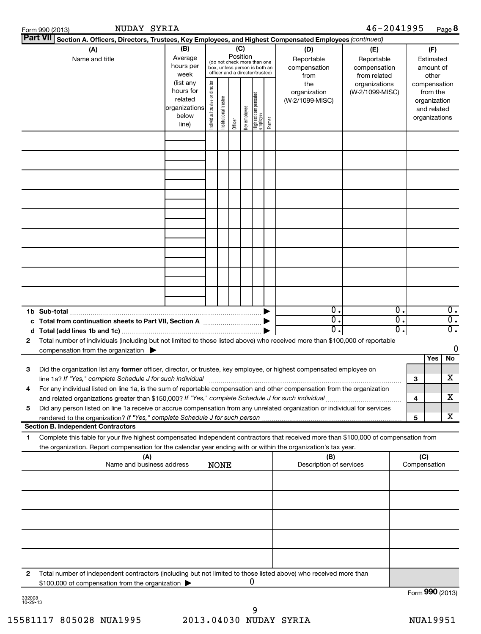|              | NUDAY SYRIA<br>Form 990 (2013)                                                                                                                                                                                                                         |                                                                      |                                |                       |          |              |                                                                                                 |        |                                           | 46-2041995                                        |                                                                          |     |                                        | Page 8                                                     |  |
|--------------|--------------------------------------------------------------------------------------------------------------------------------------------------------------------------------------------------------------------------------------------------------|----------------------------------------------------------------------|--------------------------------|-----------------------|----------|--------------|-------------------------------------------------------------------------------------------------|--------|-------------------------------------------|---------------------------------------------------|--------------------------------------------------------------------------|-----|----------------------------------------|------------------------------------------------------------|--|
|              | Part VII Section A. Officers, Directors, Trustees, Key Employees, and Highest Compensated Employees (continued)                                                                                                                                        |                                                                      |                                |                       |          |              |                                                                                                 |        |                                           |                                                   |                                                                          |     |                                        |                                                            |  |
|              | (A)<br>Name and title                                                                                                                                                                                                                                  | (B)<br>Average<br>hours per<br>week                                  |                                |                       | Position | (C)          | (do not check more than one<br>box, unless person is both an<br>officer and a director/trustee) |        | (D)<br>Reportable<br>compensation<br>from | (E)<br>Reportable<br>compensation<br>from related |                                                                          |     | (F)<br>Estimated<br>amount of<br>other |                                                            |  |
|              |                                                                                                                                                                                                                                                        | (list any<br>hours for<br>related<br>organizations<br>below<br>line) | Individual trustee or director | Institutional trustee | Officer  | Key employee | Highest compensated<br>  employee                                                               | Former | the<br>organization<br>(W-2/1099-MISC)    | organizations<br>(W-2/1099-MISC)                  | compensation<br>from the<br>organization<br>and related<br>organizations |     |                                        |                                                            |  |
|              |                                                                                                                                                                                                                                                        |                                                                      |                                |                       |          |              |                                                                                                 |        |                                           |                                                   |                                                                          |     |                                        |                                                            |  |
|              |                                                                                                                                                                                                                                                        |                                                                      |                                |                       |          |              |                                                                                                 |        |                                           |                                                   |                                                                          |     |                                        |                                                            |  |
|              |                                                                                                                                                                                                                                                        |                                                                      |                                |                       |          |              |                                                                                                 |        |                                           |                                                   |                                                                          |     |                                        |                                                            |  |
|              |                                                                                                                                                                                                                                                        |                                                                      |                                |                       |          |              |                                                                                                 |        |                                           |                                                   |                                                                          |     |                                        |                                                            |  |
|              |                                                                                                                                                                                                                                                        |                                                                      |                                |                       |          |              |                                                                                                 |        |                                           |                                                   |                                                                          |     |                                        |                                                            |  |
|              |                                                                                                                                                                                                                                                        |                                                                      |                                |                       |          |              |                                                                                                 |        | $\overline{0}$ .                          |                                                   | $\overline{0}$ .                                                         |     |                                        | $\overline{0}$ .                                           |  |
|              | c Total from continuation sheets to Part VII, Section A manufactured by                                                                                                                                                                                |                                                                      |                                |                       |          |              |                                                                                                 |        | $\overline{0}$ .<br>$\overline{0}$ .      |                                                   | σ.<br>σ.                                                                 |     |                                        | $\overline{\mathfrak{o}}$ .<br>$\overline{\mathfrak{o}}$ . |  |
| $\mathbf{2}$ | Total number of individuals (including but not limited to those listed above) who received more than \$100,000 of reportable<br>compensation from the organization $\blacktriangleright$                                                               |                                                                      |                                |                       |          |              |                                                                                                 |        |                                           |                                                   |                                                                          |     |                                        | 0                                                          |  |
| з            | Did the organization list any former officer, director, or trustee, key employee, or highest compensated employee on<br>line 1a? If "Yes," complete Schedule J for such individual                                                                     |                                                                      |                                |                       |          |              |                                                                                                 |        |                                           |                                                   |                                                                          | З   | Yes                                    | No<br>x                                                    |  |
| 4<br>5       | For any individual listed on line 1a, is the sum of reportable compensation and other compensation from the organization<br>Did any person listed on line 1a receive or accrue compensation from any unrelated organization or individual for services |                                                                      |                                |                       |          |              |                                                                                                 |        |                                           |                                                   |                                                                          | 4   |                                        | x                                                          |  |
|              | <b>Section B. Independent Contractors</b>                                                                                                                                                                                                              |                                                                      |                                |                       |          |              |                                                                                                 |        |                                           |                                                   |                                                                          | 5   |                                        | x                                                          |  |
| 1            | Complete this table for your five highest compensated independent contractors that received more than \$100,000 of compensation from<br>the organization. Report compensation for the calendar year ending with or within the organization's tax year. |                                                                      |                                |                       |          |              |                                                                                                 |        |                                           |                                                   |                                                                          |     |                                        |                                                            |  |
|              | (A)<br>Name and business address                                                                                                                                                                                                                       |                                                                      |                                | <b>NONE</b>           |          |              |                                                                                                 |        | (B)<br>Description of services            |                                                   |                                                                          | (C) | Compensation                           |                                                            |  |
|              |                                                                                                                                                                                                                                                        |                                                                      |                                |                       |          |              |                                                                                                 |        |                                           |                                                   |                                                                          |     |                                        |                                                            |  |
|              |                                                                                                                                                                                                                                                        |                                                                      |                                |                       |          |              |                                                                                                 |        |                                           |                                                   |                                                                          |     |                                        |                                                            |  |
|              |                                                                                                                                                                                                                                                        |                                                                      |                                |                       |          |              |                                                                                                 |        |                                           |                                                   |                                                                          |     |                                        |                                                            |  |
| $\mathbf{2}$ | Total number of independent contractors (including but not limited to those listed above) who received more than<br>\$100,000 of compensation from the organization $\blacktriangleright$                                                              |                                                                      |                                |                       |          |              | 0                                                                                               |        |                                           |                                                   |                                                                          |     |                                        |                                                            |  |
|              |                                                                                                                                                                                                                                                        |                                                                      |                                |                       |          |              |                                                                                                 |        |                                           |                                                   |                                                                          |     |                                        | Form 990 (2013)                                            |  |

332008 10-29-13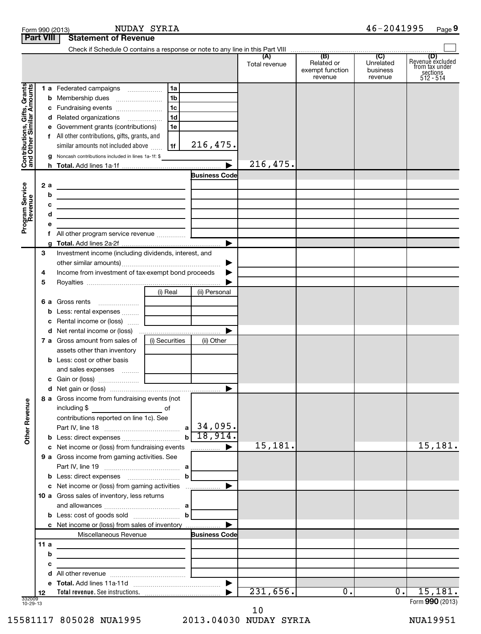|                                                           | <b>Part VIII</b> | <b>Statement of Revenue</b>                                                                                            |                                                             |                      |               |                                          |                                  |                                                             |
|-----------------------------------------------------------|------------------|------------------------------------------------------------------------------------------------------------------------|-------------------------------------------------------------|----------------------|---------------|------------------------------------------|----------------------------------|-------------------------------------------------------------|
|                                                           |                  |                                                                                                                        |                                                             |                      |               |                                          |                                  |                                                             |
|                                                           |                  |                                                                                                                        |                                                             |                      | Total revenue | Related or<br>exempt function<br>revenue | Unrelated<br>business<br>revenue | Revenue excluded<br>from tax under<br>sections<br>512 - 514 |
|                                                           |                  | 1 a Federated campaigns                                                                                                | 1a                                                          |                      |               |                                          |                                  |                                                             |
|                                                           |                  |                                                                                                                        | 1 <sub>b</sub>                                              |                      |               |                                          |                                  |                                                             |
|                                                           |                  |                                                                                                                        | l 1c                                                        |                      |               |                                          |                                  |                                                             |
|                                                           |                  | d Related organizations                                                                                                | 1 <sub>d</sub>                                              |                      |               |                                          |                                  |                                                             |
|                                                           |                  | e Government grants (contributions)                                                                                    | 1e                                                          |                      |               |                                          |                                  |                                                             |
|                                                           |                  | f All other contributions, gifts, grants, and                                                                          |                                                             |                      |               |                                          |                                  |                                                             |
| Contributions, Gifts, Grants<br>and Other Similar Amounts |                  | similar amounts not included above                                                                                     | 1f                                                          | 216,475.             |               |                                          |                                  |                                                             |
|                                                           |                  | g Noncash contributions included in lines 1a-1f: \$                                                                    |                                                             |                      |               |                                          |                                  |                                                             |
|                                                           |                  |                                                                                                                        |                                                             |                      | 216,475.      |                                          |                                  |                                                             |
|                                                           |                  |                                                                                                                        |                                                             | <b>Business Code</b> |               |                                          |                                  |                                                             |
| Program Service                                           | 2 a              |                                                                                                                        |                                                             |                      |               |                                          |                                  |                                                             |
|                                                           | b                | <u> 1989 - Johann Barbara, martxa eta batarra (h. 1989).</u>                                                           |                                                             |                      |               |                                          |                                  |                                                             |
|                                                           | с                | <u> 1989 - Johann John Stone, mars et al. 1989 - John Stone, mars et al. 1989 - John Stone, mars et al. 1989 - Joh</u> |                                                             |                      |               |                                          |                                  |                                                             |
|                                                           | d<br>e           | <u> 1989 - Johann Barbara, martxa eta batailaria (h. 1989).</u>                                                        |                                                             |                      |               |                                          |                                  |                                                             |
|                                                           |                  | All other program service revenue <i></i>                                                                              |                                                             |                      |               |                                          |                                  |                                                             |
|                                                           |                  |                                                                                                                        |                                                             |                      |               |                                          |                                  |                                                             |
|                                                           | 3                | Investment income (including dividends, interest, and                                                                  |                                                             |                      |               |                                          |                                  |                                                             |
|                                                           |                  |                                                                                                                        |                                                             | ▶                    |               |                                          |                                  |                                                             |
|                                                           | 4                | Income from investment of tax-exempt bond proceeds                                                                     |                                                             |                      |               |                                          |                                  |                                                             |
|                                                           | 5                |                                                                                                                        |                                                             |                      |               |                                          |                                  |                                                             |
|                                                           |                  |                                                                                                                        | (i) Real                                                    | (ii) Personal        |               |                                          |                                  |                                                             |
|                                                           |                  | <b>6 a</b> Gross rents                                                                                                 |                                                             |                      |               |                                          |                                  |                                                             |
|                                                           |                  | <b>b</b> Less: rental expenses                                                                                         |                                                             |                      |               |                                          |                                  |                                                             |
|                                                           |                  | <b>c</b> Rental income or (loss)                                                                                       |                                                             |                      |               |                                          |                                  |                                                             |
|                                                           |                  |                                                                                                                        |                                                             |                      |               |                                          |                                  |                                                             |
|                                                           |                  | <b>7 a</b> Gross amount from sales of                                                                                  | (i) Securities                                              | (ii) Other           |               |                                          |                                  |                                                             |
|                                                           |                  | assets other than inventory<br><b>b</b> Less: cost or other basis                                                      |                                                             |                      |               |                                          |                                  |                                                             |
|                                                           |                  | and sales expenses                                                                                                     |                                                             |                      |               |                                          |                                  |                                                             |
|                                                           |                  |                                                                                                                        |                                                             |                      |               |                                          |                                  |                                                             |
|                                                           |                  |                                                                                                                        |                                                             |                      |               |                                          |                                  |                                                             |
|                                                           |                  | 8 a Gross income from fundraising events (not                                                                          |                                                             |                      |               |                                          |                                  |                                                             |
| <b>Other Revenue</b>                                      |                  | including \$<br><u>and the second second second</u> of                                                                 |                                                             |                      |               |                                          |                                  |                                                             |
|                                                           |                  | contributions reported on line 1c). See                                                                                |                                                             |                      |               |                                          |                                  |                                                             |
|                                                           |                  |                                                                                                                        |                                                             |                      |               |                                          |                                  |                                                             |
|                                                           |                  |                                                                                                                        |                                                             |                      |               |                                          |                                  |                                                             |
|                                                           |                  | c Net income or (loss) from fundraising events                                                                         |                                                             | ▶<br>.               | 15,181.       |                                          |                                  | 15,181.                                                     |
|                                                           |                  | 9 a Gross income from gaming activities. See                                                                           |                                                             |                      |               |                                          |                                  |                                                             |
|                                                           |                  |                                                                                                                        |                                                             |                      |               |                                          |                                  |                                                             |
|                                                           |                  |                                                                                                                        |                                                             |                      |               |                                          |                                  |                                                             |
|                                                           |                  | c Net income or (loss) from gaming activities<br>10 a Gross sales of inventory, less returns                           |                                                             | ▶                    |               |                                          |                                  |                                                             |
|                                                           |                  |                                                                                                                        |                                                             |                      |               |                                          |                                  |                                                             |
|                                                           |                  | <b>b</b> Less: cost of goods sold $\ldots$ <b>b</b>                                                                    |                                                             |                      |               |                                          |                                  |                                                             |
|                                                           |                  | c Net income or (loss) from sales of inventory                                                                         |                                                             |                      |               |                                          |                                  |                                                             |
|                                                           |                  | Miscellaneous Revenue                                                                                                  |                                                             | <b>Business Code</b> |               |                                          |                                  |                                                             |
|                                                           | 11a              | the control of the control of the control of the control of the control of                                             |                                                             |                      |               |                                          |                                  |                                                             |
|                                                           | b                |                                                                                                                        |                                                             |                      |               |                                          |                                  |                                                             |
|                                                           | с                |                                                                                                                        | the control of the control of the control of the control of |                      |               |                                          |                                  |                                                             |
|                                                           | d                |                                                                                                                        |                                                             |                      |               |                                          |                                  |                                                             |
|                                                           |                  |                                                                                                                        |                                                             |                      |               |                                          |                                  |                                                             |
|                                                           | 12               |                                                                                                                        |                                                             |                      | 231,656.      | $\overline{0}$ .                         | $\overline{0}$ .                 | 15, 181.                                                    |
| 332009<br>10-29-13                                        |                  |                                                                                                                        |                                                             |                      |               |                                          |                                  | Form 990 (2013)                                             |

332009 10-29-13

15581117 805028 NUA1995 2013.04030 NUDAY SYRIA NUA19951 10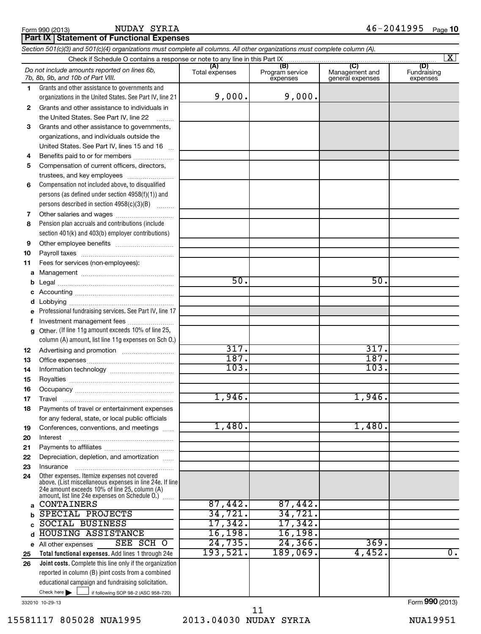NUDAY SYRIA

**Part IX Statement of Functional Expenses**

#### If following SOP 98-2 (ASC 958-720) **Total functional expenses.**  Add lines 1 through 24e **Joint costs.** Complete this line only if the organization **(A) (B) (C) (D) 1 2 3 4 5 6 7 8 9 10 11 a b c d e f g 12 13 14 15 16 17 18 19 20 21 22 23 24 a b c d e 25 26** *Section 501(c)(3) and 501(c)(4) organizations must complete all columns. All other organizations must complete column (A).* Grants and other assistance to governments and organizations in the United States. See Part IV, line 21 Compensation not included above, to disqualified persons (as defined under section 4958(f)(1)) and persons described in section 4958(c)(3)(B)  $\quad \quad \ldots \ldots \ldots$ Pension plan accruals and contributions (include section 401(k) and 403(b) employer contributions) Professional fundraising services. See Part IV, line 17 Other. (If line 11g amount exceeds 10% of line 25, column (A) amount, list line 11g expenses on Sch O.) Other expenses. Itemize expenses not covered above. (List miscellaneous expenses in line 24e. If line 24e amount exceeds 10% of line 25, column (A) amount, list line 24e expenses on Schedule O.)  $\, \ldots \,$ reported in column (B) joint costs from a combined educational campaign and fundraising solicitation. Check if Schedule O contains a response or note to any line in this Part IX [11] CONCORDITY CONCORDITY CONCORDI<br>
CONCORDITY CONCORDITY CONCORDITY CONCORDITY CONCORDITY CONCORDITY CONCORDITY CONCORDITY CONCORDITY CONCORDITY Total expenses | Program service expenses Management and general expenses Fundraising expenses Grants and other assistance to individuals in the United States. See Part IV, line 22 Grants and other assistance to governments, organizations, and individuals outside the United States. See Part IV, lines 15 and 16 ~ Benefits paid to or for members .................... Compensation of current officers, directors, trustees, and key employees ......................... Other salaries and wages ~~~~~~~~~~ Other employee benefits ~~~~~~~~~~ Payroll taxes ~~~~~~~~~~~~~~~~ Fees for services (non-employees): Management ~~~~~~~~~~~~~~~~ Legal ~~~~~~~~~~~~~~~~~~~~ Accounting ~~~~~~~~~~~~~~~~~ Lobbying ~~~~~~~~~~~~~~~~~~ Investment management fees ........................ Advertising and promotion ~~~~~~~~~ Office expenses ~~~~~~~~~~~~~~~ Information technology ~~~~~~~~~~~ Royalties ~~~~~~~~~~~~~~~~~~ Occupancy ~~~~~~~~~~~~~~~~~ Travel ………………………………………………… Payments of travel or entertainment expenses for any federal, state, or local public officials Conferences, conventions, and meetings ...... Interest Payments to affiliates ~~~~~~~~~~~~ ~~~~~~~~~~~~~~~~~~ Depreciation, depletion, and amortization ...... Insurance ~~~~~~~~~~~~~~~~~ All other expenses Check here *Do not include amounts reported on lines 6b, 7b, 8b, 9b, and 10b of Part VIII.*  $\lfloor x \rfloor$  $\Box$ 9,000. 9,000. 50. 50. 317. 317. 187. 187. 103. 103. 1,946. 1,946. 1,480. 1,480. CONTAINERS 87,442. 87,442. SPECIAL PROJECTS 34,721. 34.721. SOCIAL BUSINESS 17,342. 17,342. HOUSING ASSISTANCE 16,198. 16,198.<br>All other expenses SEE SCH 0 24,735. 24.366. SEE SCH O 24,735. 24,366. 369. 193,521. 189,069. 4,452. 0.

332010 10-29-13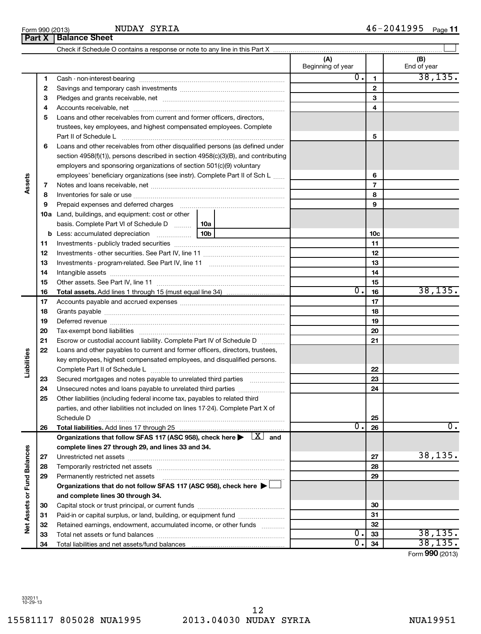15581117 805028 NUA1995 2013.04030 NUDAY SYRIA NUA19951

Form (2013) **990**

| ntains a response or note to any line in this Part X |    |
|------------------------------------------------------|----|
|                                                      | Зе |
| ring                                                 |    |
| .                                                    |    |

NUDAY SYRIA

|                             |          |                                                                                                                                                                                                                               |  | (A)<br>Beginning of year |                 | (B)<br>End of year |
|-----------------------------|----------|-------------------------------------------------------------------------------------------------------------------------------------------------------------------------------------------------------------------------------|--|--------------------------|-----------------|--------------------|
|                             | 1        |                                                                                                                                                                                                                               |  | 0.                       | 1               | 38, 135.           |
|                             | 2        |                                                                                                                                                                                                                               |  |                          | $\mathbf{2}$    |                    |
|                             | З        |                                                                                                                                                                                                                               |  |                          | 3               |                    |
|                             | 4        |                                                                                                                                                                                                                               |  |                          | 4               |                    |
|                             | 5        | Loans and other receivables from current and former officers, directors,                                                                                                                                                      |  |                          |                 |                    |
|                             |          | trustees, key employees, and highest compensated employees. Complete                                                                                                                                                          |  |                          |                 |                    |
|                             |          | Part II of Schedule L                                                                                                                                                                                                         |  |                          | 5               |                    |
|                             | 6        | Loans and other receivables from other disqualified persons (as defined under                                                                                                                                                 |  |                          |                 |                    |
|                             |          | section $4958(f)(1)$ , persons described in section $4958(c)(3)(B)$ , and contributing                                                                                                                                        |  |                          |                 |                    |
|                             |          | employers and sponsoring organizations of section 501(c)(9) voluntary                                                                                                                                                         |  |                          |                 |                    |
|                             |          | employees' beneficiary organizations (see instr). Complete Part II of Sch L                                                                                                                                                   |  |                          | 6               |                    |
| Assets                      | 7        |                                                                                                                                                                                                                               |  |                          | 7               |                    |
|                             | 8        |                                                                                                                                                                                                                               |  |                          | 8               |                    |
|                             | 9        | Prepaid expenses and deferred charges [11] [11] Prepaid expenses and deferred charges [11] [11] Martin Martin (11] (11] Arthur Martin (11] Arthur Martin (11] Arthur Martin (11] Arthur Martin (11] Arthur Martin (11] Arthur |  |                          | 9               |                    |
|                             |          | 10a Land, buildings, and equipment: cost or other                                                                                                                                                                             |  |                          |                 |                    |
|                             |          | basis. Complete Part VI of Schedule D  10a                                                                                                                                                                                    |  |                          |                 |                    |
|                             |          |                                                                                                                                                                                                                               |  |                          | 10 <sub>c</sub> |                    |
|                             | 11       |                                                                                                                                                                                                                               |  |                          | 11              |                    |
|                             | 12       |                                                                                                                                                                                                                               |  |                          | 12              |                    |
|                             | 13       |                                                                                                                                                                                                                               |  |                          | 13              |                    |
|                             | 14       |                                                                                                                                                                                                                               |  |                          | 14              |                    |
|                             | 15       |                                                                                                                                                                                                                               |  |                          | 15              |                    |
|                             | 16       | <b>Total assets.</b> Add lines 1 through 15 (must equal line 34) <i></i>                                                                                                                                                      |  | 0.                       | 16              | 38, 135.           |
|                             | 17       |                                                                                                                                                                                                                               |  | 17                       |                 |                    |
|                             | 18       |                                                                                                                                                                                                                               |  | 18                       |                 |                    |
|                             | 19       |                                                                                                                                                                                                                               |  | 19                       |                 |                    |
|                             | 20       |                                                                                                                                                                                                                               |  |                          | 20              |                    |
|                             | 21       | Escrow or custodial account liability. Complete Part IV of Schedule D                                                                                                                                                         |  |                          | 21              |                    |
| Liabilities                 | 22       | Loans and other payables to current and former officers, directors, trustees,                                                                                                                                                 |  |                          |                 |                    |
|                             |          | key employees, highest compensated employees, and disqualified persons.                                                                                                                                                       |  |                          |                 |                    |
|                             |          |                                                                                                                                                                                                                               |  |                          | 22              |                    |
|                             | 23<br>24 | Secured mortgages and notes payable to unrelated third parties                                                                                                                                                                |  |                          | 23              |                    |
|                             | 25       | Other liabilities (including federal income tax, payables to related third                                                                                                                                                    |  |                          | 24              |                    |
|                             |          | parties, and other liabilities not included on lines 17-24). Complete Part X of                                                                                                                                               |  |                          |                 |                    |
|                             |          | Schedule D                                                                                                                                                                                                                    |  |                          | 25              |                    |
|                             | 26       |                                                                                                                                                                                                                               |  | О.                       | 26              | $\overline{0}$ .   |
|                             |          | Organizations that follow SFAS 117 (ASC 958), check here $\blacktriangleright \begin{array}{c} \perp X \end{array}$ and                                                                                                       |  |                          |                 |                    |
|                             |          | complete lines 27 through 29, and lines 33 and 34.                                                                                                                                                                            |  |                          |                 |                    |
|                             | 27       |                                                                                                                                                                                                                               |  |                          | 27              | 38, 135.           |
|                             | 28       |                                                                                                                                                                                                                               |  |                          | 28              |                    |
|                             | 29       | Permanently restricted net assets                                                                                                                                                                                             |  |                          | 29              |                    |
|                             |          | Organizations that do not follow SFAS 117 (ASC 958), check here ▶                                                                                                                                                             |  |                          |                 |                    |
|                             |          | and complete lines 30 through 34.                                                                                                                                                                                             |  |                          |                 |                    |
|                             | 30       |                                                                                                                                                                                                                               |  |                          | 30              |                    |
|                             | 31       | Paid-in or capital surplus, or land, building, or equipment fund                                                                                                                                                              |  |                          | 31              |                    |
| Net Assets or Fund Balances | 32       | Retained earnings, endowment, accumulated income, or other funds                                                                                                                                                              |  |                          | 32              |                    |
|                             | 33       |                                                                                                                                                                                                                               |  | 0.                       | 33              | 38, 135.           |
|                             | 34       |                                                                                                                                                                                                                               |  | 0                        | 34              | 38, 135.           |

**Part X Balance Sheet**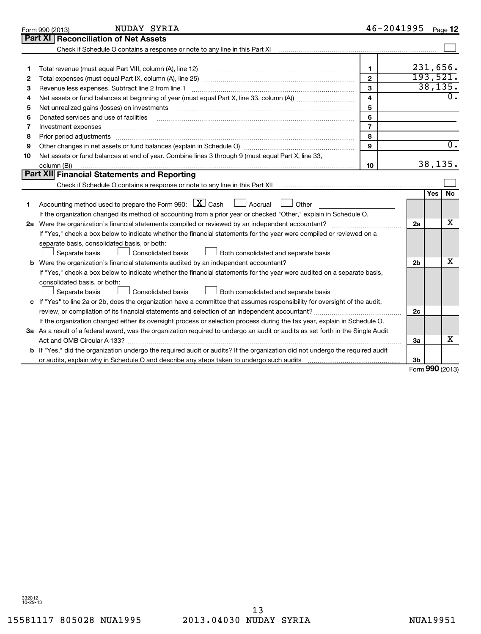|    | NUDAY SYRIA<br>Form 990 (2013)                                                                                                                                                                                                 |                         | 46-2041995     |        | Page 12          |  |  |  |
|----|--------------------------------------------------------------------------------------------------------------------------------------------------------------------------------------------------------------------------------|-------------------------|----------------|--------|------------------|--|--|--|
|    | Part XI   Reconciliation of Net Assets                                                                                                                                                                                         |                         |                |        |                  |  |  |  |
|    |                                                                                                                                                                                                                                |                         |                |        |                  |  |  |  |
|    |                                                                                                                                                                                                                                |                         |                |        |                  |  |  |  |
| 1  |                                                                                                                                                                                                                                | 1                       |                |        | 231,656.         |  |  |  |
| 2  |                                                                                                                                                                                                                                | $\mathbf{2}$            |                |        | 193,521.         |  |  |  |
| З  |                                                                                                                                                                                                                                | 3                       |                |        | 38, 135.         |  |  |  |
| 4  |                                                                                                                                                                                                                                | $\overline{\mathbf{4}}$ |                |        | $\overline{0}$ . |  |  |  |
| 5  | Net unrealized gains (losses) on investments [11] matter contracts and the state of the state of the state of the state of the state of the state of the state of the state of the state of the state of the state of the stat | 5                       |                |        |                  |  |  |  |
| 6  | Donated services and use of facilities                                                                                                                                                                                         | 6                       |                |        |                  |  |  |  |
| 7  | Investment expenses                                                                                                                                                                                                            | $\overline{7}$          |                |        |                  |  |  |  |
| 8  | Prior period adjustments                                                                                                                                                                                                       | 8                       |                |        |                  |  |  |  |
| 9  |                                                                                                                                                                                                                                | 9                       |                |        | $\overline{0}$ . |  |  |  |
| 10 | Net assets or fund balances at end of year. Combine lines 3 through 9 (must equal Part X, line 33,                                                                                                                             |                         |                |        |                  |  |  |  |
|    | column (B))                                                                                                                                                                                                                    | 10                      |                |        | 38, 135.         |  |  |  |
|    | Part XII Financial Statements and Reporting                                                                                                                                                                                    |                         |                |        |                  |  |  |  |
|    |                                                                                                                                                                                                                                |                         |                |        |                  |  |  |  |
|    |                                                                                                                                                                                                                                |                         |                | Yes    | No.              |  |  |  |
| 1  | Accounting method used to prepare the Form 990: $X \subset X$ Cash<br>Accrual U Other                                                                                                                                          |                         |                |        |                  |  |  |  |
|    | If the organization changed its method of accounting from a prior year or checked "Other," explain in Schedule O.                                                                                                              |                         |                |        |                  |  |  |  |
|    |                                                                                                                                                                                                                                |                         | 2a             |        | x                |  |  |  |
|    | If "Yes," check a box below to indicate whether the financial statements for the year were compiled or reviewed on a                                                                                                           |                         |                |        |                  |  |  |  |
|    | separate basis, consolidated basis, or both:                                                                                                                                                                                   |                         |                |        |                  |  |  |  |
|    | Both consolidated and separate basis<br>Separate basis<br>Consolidated basis                                                                                                                                                   |                         |                |        |                  |  |  |  |
|    |                                                                                                                                                                                                                                |                         | 2 <sub>b</sub> |        | x                |  |  |  |
|    | If "Yes," check a box below to indicate whether the financial statements for the year were audited on a separate basis,                                                                                                        |                         |                |        |                  |  |  |  |
|    | consolidated basis, or both:                                                                                                                                                                                                   |                         |                |        |                  |  |  |  |
|    | Separate basis<br>Consolidated basis<br>Both consolidated and separate basis                                                                                                                                                   |                         |                |        |                  |  |  |  |
|    | c If "Yes" to line 2a or 2b, does the organization have a committee that assumes responsibility for oversight of the audit,                                                                                                    |                         |                |        |                  |  |  |  |
|    |                                                                                                                                                                                                                                |                         | 2c             |        |                  |  |  |  |
|    | If the organization changed either its oversight process or selection process during the tax year, explain in Schedule O.                                                                                                      |                         |                |        |                  |  |  |  |
|    | 3a As a result of a federal award, was the organization required to undergo an audit or audits as set forth in the Single Audit                                                                                                |                         |                |        |                  |  |  |  |
|    |                                                                                                                                                                                                                                |                         | За             |        | x                |  |  |  |
|    | <b>b</b> If "Yes," did the organization undergo the required audit or audits? If the organization did not undergo the required audit                                                                                           |                         |                |        |                  |  |  |  |
|    |                                                                                                                                                                                                                                |                         | 3b             |        |                  |  |  |  |
|    |                                                                                                                                                                                                                                |                         |                | $\sim$ |                  |  |  |  |

Form **990** (2013)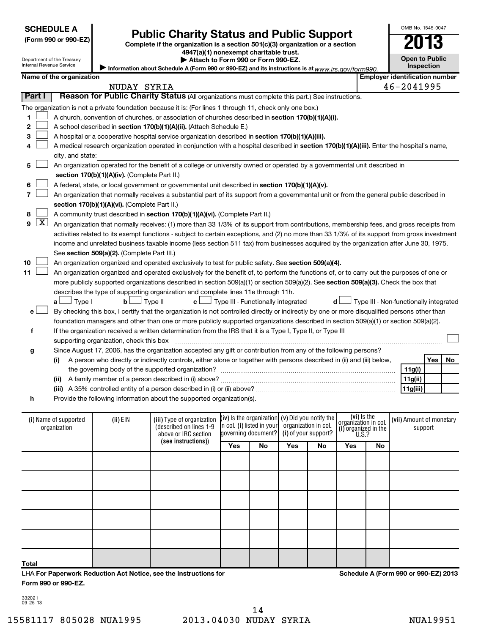| <b>SCHEDULE A</b> |
|-------------------|
|-------------------|

| (Form 990 or 990-E2 |  |  |  |  |  |
|---------------------|--|--|--|--|--|
|---------------------|--|--|--|--|--|

Department of the Treasury Internal Revenue Service

## Form 990 or 990-EZ)<br>
Complete if the organization is a section 501(c)(3) organization or a section<br> **Public Charity Status and Public Support**

**4947(a)(1) nonexempt charitable trust.**

**Open to Public Inspection**

OMB No. 1545-0047

**| Attach to Form 990 or Form 990-EZ.** 

Information about Schedule A (Form 990 or 990-EZ) and its instructions is at www.irs.gov/form990.

|                          | Name of the organization                                                                                                                   |                                               |                                                                                                                                                                                                                                            |                                                     |    |                      |     |                                              |    | <b>Employer identification number</b>  |         |    |
|--------------------------|--------------------------------------------------------------------------------------------------------------------------------------------|-----------------------------------------------|--------------------------------------------------------------------------------------------------------------------------------------------------------------------------------------------------------------------------------------------|-----------------------------------------------------|----|----------------------|-----|----------------------------------------------|----|----------------------------------------|---------|----|
|                          |                                                                                                                                            | NUDAY SYRIA                                   |                                                                                                                                                                                                                                            |                                                     |    |                      |     |                                              |    | 46-2041995                             |         |    |
| Part I                   |                                                                                                                                            |                                               | Reason for Public Charity Status (All organizations must complete this part.) See instructions.                                                                                                                                            |                                                     |    |                      |     |                                              |    |                                        |         |    |
|                          |                                                                                                                                            |                                               | The organization is not a private foundation because it is: (For lines 1 through 11, check only one box.)                                                                                                                                  |                                                     |    |                      |     |                                              |    |                                        |         |    |
| 1                        |                                                                                                                                            |                                               | A church, convention of churches, or association of churches described in section 170(b)(1)(A)(i).                                                                                                                                         |                                                     |    |                      |     |                                              |    |                                        |         |    |
| 2                        |                                                                                                                                            |                                               | A school described in section 170(b)(1)(A)(ii). (Attach Schedule E.)                                                                                                                                                                       |                                                     |    |                      |     |                                              |    |                                        |         |    |
| 3                        | A hospital or a cooperative hospital service organization described in section 170(b)(1)(A)(iii).                                          |                                               |                                                                                                                                                                                                                                            |                                                     |    |                      |     |                                              |    |                                        |         |    |
| 4                        | A medical research organization operated in conjunction with a hospital described in section 170(b)(1)(A)(iii). Enter the hospital's name, |                                               |                                                                                                                                                                                                                                            |                                                     |    |                      |     |                                              |    |                                        |         |    |
|                          | city, and state:                                                                                                                           |                                               |                                                                                                                                                                                                                                            |                                                     |    |                      |     |                                              |    |                                        |         |    |
| 5                        |                                                                                                                                            |                                               | An organization operated for the benefit of a college or university owned or operated by a governmental unit described in                                                                                                                  |                                                     |    |                      |     |                                              |    |                                        |         |    |
|                          |                                                                                                                                            | section 170(b)(1)(A)(iv). (Complete Part II.) |                                                                                                                                                                                                                                            |                                                     |    |                      |     |                                              |    |                                        |         |    |
| 6                        |                                                                                                                                            |                                               | A federal, state, or local government or governmental unit described in section 170(b)(1)(A)(v).                                                                                                                                           |                                                     |    |                      |     |                                              |    |                                        |         |    |
| $\overline{7}$           |                                                                                                                                            |                                               | An organization that normally receives a substantial part of its support from a governmental unit or from the general public described in                                                                                                  |                                                     |    |                      |     |                                              |    |                                        |         |    |
|                          |                                                                                                                                            | section 170(b)(1)(A)(vi). (Complete Part II.) |                                                                                                                                                                                                                                            |                                                     |    |                      |     |                                              |    |                                        |         |    |
| 8                        |                                                                                                                                            |                                               | A community trust described in section 170(b)(1)(A)(vi). (Complete Part II.)                                                                                                                                                               |                                                     |    |                      |     |                                              |    |                                        |         |    |
| $\lfloor x \rfloor$<br>9 |                                                                                                                                            |                                               | An organization that normally receives: (1) more than 33 1/3% of its support from contributions, membership fees, and gross receipts from                                                                                                  |                                                     |    |                      |     |                                              |    |                                        |         |    |
|                          |                                                                                                                                            |                                               | activities related to its exempt functions - subject to certain exceptions, and (2) no more than 33 1/3% of its support from gross investment                                                                                              |                                                     |    |                      |     |                                              |    |                                        |         |    |
|                          |                                                                                                                                            |                                               | income and unrelated business taxable income (less section 511 tax) from businesses acquired by the organization after June 30, 1975.                                                                                                      |                                                     |    |                      |     |                                              |    |                                        |         |    |
|                          |                                                                                                                                            | See section 509(a)(2). (Complete Part III.)   |                                                                                                                                                                                                                                            |                                                     |    |                      |     |                                              |    |                                        |         |    |
| 10                       |                                                                                                                                            |                                               | An organization organized and operated exclusively to test for public safety. See section 509(a)(4).                                                                                                                                       |                                                     |    |                      |     |                                              |    |                                        |         |    |
| 11                       |                                                                                                                                            |                                               | An organization organized and operated exclusively for the benefit of, to perform the functions of, or to carry out the purposes of one or                                                                                                 |                                                     |    |                      |     |                                              |    |                                        |         |    |
|                          |                                                                                                                                            |                                               | more publicly supported organizations described in section 509(a)(1) or section 509(a)(2). See section 509(a)(3). Check the box that                                                                                                       |                                                     |    |                      |     |                                              |    |                                        |         |    |
|                          |                                                                                                                                            |                                               | describes the type of supporting organization and complete lines 11e through 11h.                                                                                                                                                          |                                                     |    |                      |     |                                              |    |                                        |         |    |
|                          | $\Box$ Type I<br>a L                                                                                                                       | $\mathbf{b}$                                  | Type II<br>c l                                                                                                                                                                                                                             | Type III - Functionally integrated                  |    |                      | d l |                                              |    | Type III - Non-functionally integrated |         |    |
| e                        |                                                                                                                                            |                                               | By checking this box, I certify that the organization is not controlled directly or indirectly by one or more disqualified persons other than                                                                                              |                                                     |    |                      |     |                                              |    |                                        |         |    |
|                          |                                                                                                                                            |                                               | foundation managers and other than one or more publicly supported organizations described in section 509(a)(1) or section 509(a)(2).                                                                                                       |                                                     |    |                      |     |                                              |    |                                        |         |    |
| f                        |                                                                                                                                            |                                               | If the organization received a written determination from the IRS that it is a Type I, Type II, or Type III                                                                                                                                |                                                     |    |                      |     |                                              |    |                                        |         |    |
|                          |                                                                                                                                            | supporting organization, check this box       |                                                                                                                                                                                                                                            |                                                     |    |                      |     |                                              |    |                                        |         |    |
| g                        | (i)                                                                                                                                        |                                               | Since August 17, 2006, has the organization accepted any gift or contribution from any of the following persons?<br>A person who directly or indirectly controls, either alone or together with persons described in (ii) and (iii) below, |                                                     |    |                      |     |                                              |    |                                        | Yes     | No |
|                          |                                                                                                                                            |                                               |                                                                                                                                                                                                                                            |                                                     |    |                      |     |                                              |    | 11g(i)                                 |         |    |
|                          | (ii)                                                                                                                                       |                                               |                                                                                                                                                                                                                                            |                                                     |    |                      |     |                                              |    | 11g(ii)                                |         |    |
|                          |                                                                                                                                            |                                               |                                                                                                                                                                                                                                            |                                                     |    |                      |     |                                              |    | 11g(iii)                               |         |    |
| h                        |                                                                                                                                            |                                               | Provide the following information about the supported organization(s).                                                                                                                                                                     |                                                     |    |                      |     |                                              |    |                                        |         |    |
|                          |                                                                                                                                            |                                               |                                                                                                                                                                                                                                            |                                                     |    |                      |     |                                              |    |                                        |         |    |
|                          | (i) Name of supported                                                                                                                      | (ii) EIN                                      | (iii) Type of organization                                                                                                                                                                                                                 | $(iv)$ is the organization $(v)$ Did you notify the |    |                      |     | (vi) Is the                                  |    | (vii) Amount of monetary               |         |    |
|                          | organization                                                                                                                               |                                               | (described on lines 1-9                                                                                                                                                                                                                    | in col. (i) listed in your                          |    | organization in col. |     | organizátion in col.<br>(i) organized in the |    |                                        | support |    |
|                          |                                                                                                                                            |                                               | above or IRC section                                                                                                                                                                                                                       | governing document?                                 |    | (i) of your support? |     | U.S.?                                        |    |                                        |         |    |
|                          |                                                                                                                                            |                                               | (see instructions))                                                                                                                                                                                                                        | Yes                                                 | No | Yes                  | No  | Yes                                          | No |                                        |         |    |
|                          |                                                                                                                                            |                                               |                                                                                                                                                                                                                                            |                                                     |    |                      |     |                                              |    |                                        |         |    |

**Schedule A (Form 990 or 990-EZ) 2013**

332021 09-25-13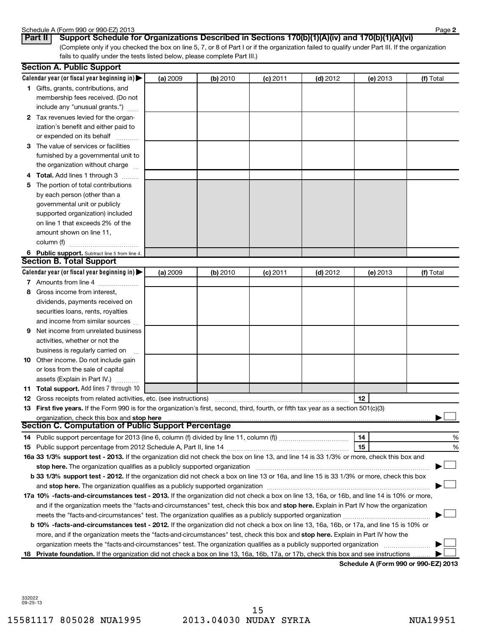#### Schedule A (Form 990 or 990-EZ) 2013

|  | criedale A (i om i s |  |          |  |
|--|----------------------|--|----------|--|
|  | $D_2 + II$           |  | $C_{11}$ |  |

(Complete only if you checked the box on line 5, 7, or 8 of Part I or if the organization failed to qualify under Part III. If the organization fails to qualify under the tests listed below, please complete Part III.) **Part II Support Schedule for Organizations Described in Sections 170(b)(1)(A)(iv) and 170(b)(1)(A)(vi)**

|    | <b>Section A. Public Support</b>                                                                                                                                                                                                                     |          |          |            |            |          |           |
|----|------------------------------------------------------------------------------------------------------------------------------------------------------------------------------------------------------------------------------------------------------|----------|----------|------------|------------|----------|-----------|
|    | Calendar year (or fiscal year beginning in) $\blacktriangleright$                                                                                                                                                                                    | (a) 2009 | (b) 2010 | $(c)$ 2011 | $(d)$ 2012 | (e) 2013 | (f) Total |
|    | 1 Gifts, grants, contributions, and                                                                                                                                                                                                                  |          |          |            |            |          |           |
|    | membership fees received. (Do not                                                                                                                                                                                                                    |          |          |            |            |          |           |
|    | include any "unusual grants.")                                                                                                                                                                                                                       |          |          |            |            |          |           |
|    | 2 Tax revenues levied for the organ-                                                                                                                                                                                                                 |          |          |            |            |          |           |
|    | ization's benefit and either paid to                                                                                                                                                                                                                 |          |          |            |            |          |           |
|    | or expended on its behalf                                                                                                                                                                                                                            |          |          |            |            |          |           |
|    | 3 The value of services or facilities                                                                                                                                                                                                                |          |          |            |            |          |           |
|    | furnished by a governmental unit to                                                                                                                                                                                                                  |          |          |            |            |          |           |
|    | the organization without charge                                                                                                                                                                                                                      |          |          |            |            |          |           |
|    | 4 Total. Add lines 1 through 3                                                                                                                                                                                                                       |          |          |            |            |          |           |
| 5  | The portion of total contributions                                                                                                                                                                                                                   |          |          |            |            |          |           |
|    | by each person (other than a                                                                                                                                                                                                                         |          |          |            |            |          |           |
|    | governmental unit or publicly                                                                                                                                                                                                                        |          |          |            |            |          |           |
|    | supported organization) included                                                                                                                                                                                                                     |          |          |            |            |          |           |
|    | on line 1 that exceeds 2% of the                                                                                                                                                                                                                     |          |          |            |            |          |           |
|    | amount shown on line 11,                                                                                                                                                                                                                             |          |          |            |            |          |           |
|    | column (f)                                                                                                                                                                                                                                           |          |          |            |            |          |           |
|    | 6 Public support. Subtract line 5 from line 4.                                                                                                                                                                                                       |          |          |            |            |          |           |
|    | <b>Section B. Total Support</b>                                                                                                                                                                                                                      |          |          |            |            |          |           |
|    | Calendar year (or fiscal year beginning in)                                                                                                                                                                                                          | (a) 2009 | (b) 2010 | $(c)$ 2011 | $(d)$ 2012 | (e) 2013 | (f) Total |
|    | 7 Amounts from line 4                                                                                                                                                                                                                                |          |          |            |            |          |           |
| 8  | Gross income from interest,                                                                                                                                                                                                                          |          |          |            |            |          |           |
|    | dividends, payments received on                                                                                                                                                                                                                      |          |          |            |            |          |           |
|    | securities loans, rents, royalties                                                                                                                                                                                                                   |          |          |            |            |          |           |
|    | and income from similar sources                                                                                                                                                                                                                      |          |          |            |            |          |           |
| 9  | Net income from unrelated business                                                                                                                                                                                                                   |          |          |            |            |          |           |
|    | activities, whether or not the                                                                                                                                                                                                                       |          |          |            |            |          |           |
|    | business is regularly carried on                                                                                                                                                                                                                     |          |          |            |            |          |           |
|    | <b>10</b> Other income. Do not include gain                                                                                                                                                                                                          |          |          |            |            |          |           |
|    | or loss from the sale of capital                                                                                                                                                                                                                     |          |          |            |            |          |           |
|    |                                                                                                                                                                                                                                                      |          |          |            |            |          |           |
|    | assets (Explain in Part IV.)<br><b>11 Total support.</b> Add lines 7 through 10                                                                                                                                                                      |          |          |            |            |          |           |
|    |                                                                                                                                                                                                                                                      |          |          |            |            | 12       |           |
|    | <b>12</b> Gross receipts from related activities, etc. (see instructions)<br>13 First five years. If the Form 990 is for the organization's first, second, third, fourth, or fifth tax year as a section 501(c)(3)                                   |          |          |            |            |          |           |
|    | organization, check this box and stop here manufactured and according to the state of the state of the state of the state of the state of the state of the state of the state of the state of the state of the state of the st                       |          |          |            |            |          |           |
|    | <b>Section C. Computation of Public Support Percentage</b>                                                                                                                                                                                           |          |          |            |            |          |           |
|    |                                                                                                                                                                                                                                                      |          |          |            |            | 14       | %         |
|    |                                                                                                                                                                                                                                                      |          |          |            |            | 15       | %         |
|    | 16a 33 1/3% support test - 2013. If the organization did not check the box on line 13, and line 14 is 33 1/3% or more, check this box and                                                                                                            |          |          |            |            |          |           |
|    | stop here. The organization qualifies as a publicly supported organization                                                                                                                                                                           |          |          |            |            |          |           |
|    | b 33 1/3% support test - 2012. If the organization did not check a box on line 13 or 16a, and line 15 is 33 1/3% or more, check this box                                                                                                             |          |          |            |            |          |           |
|    | and stop here. The organization qualifies as a publicly supported organization [11] manuscription manuscription manuscription manuscription manuscription manuscription manuscription and an analyze of the organization manus                       |          |          |            |            |          |           |
|    | 17a 10% -facts-and-circumstances test - 2013. If the organization did not check a box on line 13, 16a, or 16b, and line 14 is 10% or more,                                                                                                           |          |          |            |            |          |           |
|    |                                                                                                                                                                                                                                                      |          |          |            |            |          |           |
|    | and if the organization meets the "facts-and-circumstances" test, check this box and stop here. Explain in Part IV how the organization<br>meets the "facts-and-circumstances" test. The organization qualifies as a publicly supported organization |          |          |            |            |          |           |
|    |                                                                                                                                                                                                                                                      |          |          |            |            |          |           |
|    | b 10% -facts-and-circumstances test - 2012. If the organization did not check a box on line 13, 16a, 16b, or 17a, and line 15 is 10% or                                                                                                              |          |          |            |            |          |           |
|    | more, and if the organization meets the "facts-and-circumstances" test, check this box and stop here. Explain in Part IV how the                                                                                                                     |          |          |            |            |          |           |
|    | organization meets the "facts-and-circumstances" test. The organization qualifies as a publicly supported organization                                                                                                                               |          |          |            |            |          |           |
| 18 | Private foundation. If the organization did not check a box on line 13, 16a, 16b, 17a, or 17b, check this box and see instructions                                                                                                                   |          |          |            |            |          |           |

**Schedule A (Form 990 or 990-EZ) 2013**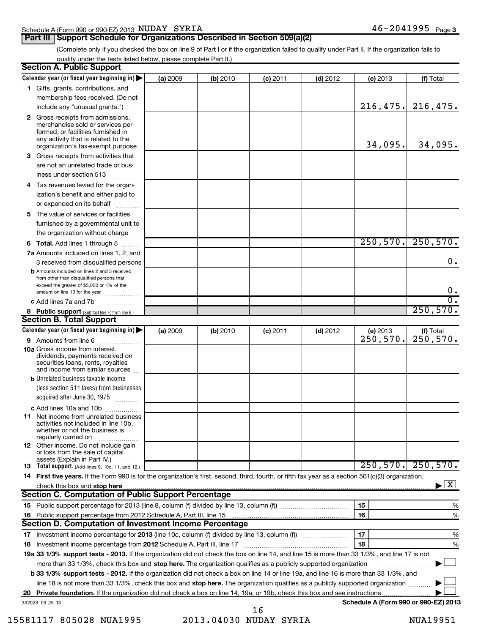| Schedule A (Form 990 or 990-EZ) 2013 $\,$ $\rm NUDAY$ $\,$ $\rm SYRIA$ |  | 46– | -2041995 | Page |  |
|------------------------------------------------------------------------|--|-----|----------|------|--|
|                                                                        |  |     |          |      |  |

**Part III Support Schedule for Organizations Described in Section 509(a)(2)** 

(Complete only if you checked the box on line 9 of Part I or if the organization failed to qualify under Part II. If the organization fails to qualify under the tests listed below, please complete Part II.)

| <b>Section A. Public Support</b>                                                                                                                                                         |          |          |            |            |                                      |                                           |
|------------------------------------------------------------------------------------------------------------------------------------------------------------------------------------------|----------|----------|------------|------------|--------------------------------------|-------------------------------------------|
| Calendar year (or fiscal year beginning in) $\blacktriangleright$                                                                                                                        | (a) 2009 | (b) 2010 | $(c)$ 2011 | $(d)$ 2012 | (e) 2013                             | (f) Total                                 |
| 1 Gifts, grants, contributions, and                                                                                                                                                      |          |          |            |            |                                      |                                           |
| membership fees received. (Do not                                                                                                                                                        |          |          |            |            |                                      |                                           |
| include any "unusual grants.")                                                                                                                                                           |          |          |            |            | 216,475.                             | 216,475.                                  |
| 2 Gross receipts from admissions,<br>merchandise sold or services per-<br>formed, or facilities furnished in<br>any activity that is related to the<br>organization's tax-exempt purpose |          |          |            |            | 34,095.                              | 34,095.                                   |
| 3 Gross receipts from activities that                                                                                                                                                    |          |          |            |            |                                      |                                           |
| are not an unrelated trade or bus-<br>iness under section 513                                                                                                                            |          |          |            |            |                                      |                                           |
| 4 Tax revenues levied for the organ-                                                                                                                                                     |          |          |            |            |                                      |                                           |
| ization's benefit and either paid to                                                                                                                                                     |          |          |            |            |                                      |                                           |
| or expended on its behalf                                                                                                                                                                |          |          |            |            |                                      |                                           |
| 5 The value of services or facilities                                                                                                                                                    |          |          |            |            |                                      |                                           |
| furnished by a governmental unit to                                                                                                                                                      |          |          |            |            |                                      |                                           |
| the organization without charge                                                                                                                                                          |          |          |            |            |                                      |                                           |
| 6 Total. Add lines 1 through 5                                                                                                                                                           |          |          |            |            | 250,570.                             | 250,570.                                  |
| 7a Amounts included on lines 1, 2, and                                                                                                                                                   |          |          |            |            |                                      |                                           |
| 3 received from disqualified persons<br><b>b</b> Amounts included on lines 2 and 3 received                                                                                              |          |          |            |            |                                      | 0.                                        |
| from other than disqualified persons that                                                                                                                                                |          |          |            |            |                                      |                                           |
| exceed the greater of \$5,000 or 1% of the                                                                                                                                               |          |          |            |            |                                      | 0.                                        |
| amount on line 13 for the year<br>c Add lines 7a and 7b                                                                                                                                  |          |          |            |            |                                      | $\overline{0}$ .                          |
| 8 Public support (Subtract line 7c from line 6.)                                                                                                                                         |          |          |            |            |                                      | 250,570.                                  |
| <b>Section B. Total Support</b>                                                                                                                                                          |          |          |            |            |                                      |                                           |
| Calendar year (or fiscal year beginning in) $\blacktriangleright$                                                                                                                        | (a) 2009 | (b) 2010 | $(c)$ 2011 | $(d)$ 2012 | (e) 2013                             |                                           |
| 9 Amounts from line 6                                                                                                                                                                    |          |          |            |            | $\overline{250,570}$ .               | $(t)$ Total<br>250, 570.                  |
| <b>10a</b> Gross income from interest,<br>dividends, payments received on<br>securities loans, rents, royalties<br>and income from similar sources                                       |          |          |            |            |                                      |                                           |
| <b>b</b> Unrelated business taxable income                                                                                                                                               |          |          |            |            |                                      |                                           |
| (less section 511 taxes) from businesses                                                                                                                                                 |          |          |            |            |                                      |                                           |
| acquired after June 30, 1975                                                                                                                                                             |          |          |            |            |                                      |                                           |
| c Add lines 10a and 10b<br><b>11</b> Net income from unrelated business<br>activities not included in line 10b.<br>whether or not the business is<br>regularly carried on                |          |          |            |            |                                      |                                           |
| <b>12</b> Other income. Do not include gain<br>or loss from the sale of capital                                                                                                          |          |          |            |            |                                      |                                           |
| assets (Explain in Part IV.) $\cdots$                                                                                                                                                    |          |          |            |            |                                      |                                           |
| 13 Total support. (Add lines 9, 10c, 11, and 12.)                                                                                                                                        |          |          |            |            |                                      | $250, 570.$ 250, 570.                     |
| 14 First five years. If the Form 990 is for the organization's first, second, third, fourth, or fifth tax year as a section 501(c)(3) organization,                                      |          |          |            |            |                                      |                                           |
| check this box and stop here <i>macuum macuum macuum macuum macuum macuum macuum macuum macuum macuum</i>                                                                                |          |          |            |            |                                      | $\blacktriangleright$ $\lfloor x \rfloor$ |
| <b>Section C. Computation of Public Support Percentage</b>                                                                                                                               |          |          |            |            |                                      |                                           |
|                                                                                                                                                                                          |          |          |            |            | 15                                   | %                                         |
| Section D. Computation of Investment Income Percentage                                                                                                                                   |          |          |            |            | 16                                   | %                                         |
|                                                                                                                                                                                          |          |          |            |            | 17                                   | %                                         |
| 18 Investment income percentage from 2012 Schedule A, Part III, line 17                                                                                                                  |          |          |            |            | 18                                   | %                                         |
| 19a 33 1/3% support tests - 2013. If the organization did not check the box on line 14, and line 15 is more than 33 1/3%, and line 17 is not                                             |          |          |            |            |                                      |                                           |
| more than 33 1/3%, check this box and stop here. The organization qualifies as a publicly supported organization                                                                         |          |          |            |            |                                      |                                           |
| b 33 1/3% support tests - 2012. If the organization did not check a box on line 14 or line 19a, and line 16 is more than 33 1/3%, and                                                    |          |          |            |            |                                      |                                           |
| line 18 is not more than 33 1/3%, check this box and stop here. The organization qualifies as a publicly supported organization                                                          |          |          |            |            |                                      |                                           |
|                                                                                                                                                                                          |          |          |            |            |                                      |                                           |
| 332023 09-25-13                                                                                                                                                                          |          |          |            |            | Schedule A (Form 990 or 990-EZ) 2013 |                                           |

15581117 805028 NUA1995 2013.04030 NUDAY SYRIA NUA19951 16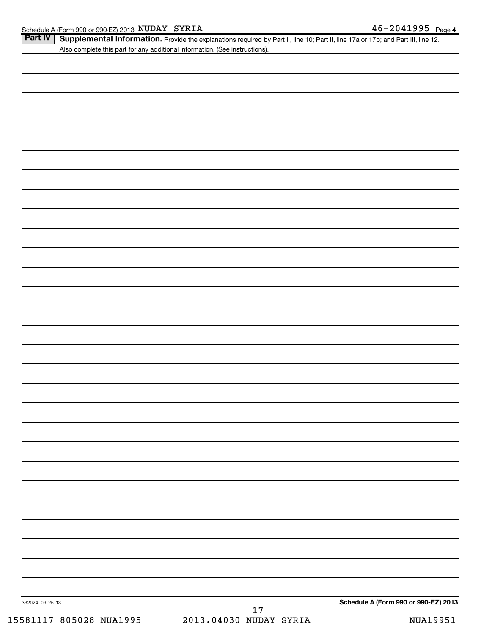Part IV | Supplemental Information. Provide the explanations required by Part II, line 10; Part II, line 17a or 17b; and Part III, line 12. Also complete this part for any additional information. (See instructions).

| 332024 09-25-13<br>15581117 805028 NUA1995 | $\begin{array}{cc} & 17 \\ 2013.04030 & \text{NUDAY SYRIA} \end{array}$ | Schedule A (Form 990 or 990-EZ) 2013<br><b>NUA19951</b> |
|--------------------------------------------|-------------------------------------------------------------------------|---------------------------------------------------------|
|                                            |                                                                         |                                                         |
|                                            |                                                                         |                                                         |
|                                            |                                                                         |                                                         |
|                                            |                                                                         |                                                         |
|                                            |                                                                         |                                                         |
|                                            |                                                                         |                                                         |
|                                            |                                                                         |                                                         |
|                                            |                                                                         |                                                         |
|                                            |                                                                         |                                                         |
|                                            |                                                                         |                                                         |
|                                            |                                                                         |                                                         |
|                                            |                                                                         |                                                         |
|                                            |                                                                         |                                                         |
|                                            |                                                                         |                                                         |
|                                            |                                                                         |                                                         |
|                                            |                                                                         |                                                         |
|                                            |                                                                         |                                                         |
|                                            |                                                                         |                                                         |
|                                            |                                                                         |                                                         |
|                                            |                                                                         |                                                         |
|                                            |                                                                         |                                                         |
|                                            |                                                                         |                                                         |
|                                            |                                                                         |                                                         |
|                                            |                                                                         |                                                         |
|                                            |                                                                         |                                                         |
|                                            |                                                                         |                                                         |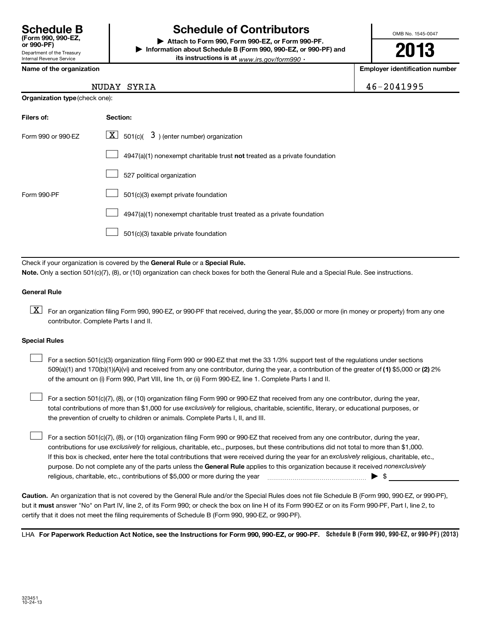## **Schedule B Schedule of Contributors**

**or 990-PF) | Attach to Form 990, Form 990-EZ, or Form 990-PF. | Information about Schedule B (Form 990, 990-EZ, or 990-PF) and its instructions is at** <sub>www.irs.gov/form990  $\cdot$ </sub>

OMB No. 1545-0047

**2013**

**Name of the organization Employer identification number**

|  | Name of the organization |
|--|--------------------------|
|--|--------------------------|

NUDAY SYRIA 46-2041995

| <b>Organization type (check one):</b> |                                                                           |  |  |  |
|---------------------------------------|---------------------------------------------------------------------------|--|--|--|
| Filers of:                            | Section:                                                                  |  |  |  |
| Form 990 or 990-FZ                    | $\lfloor \underline{X} \rfloor$ 501(c)( 3) (enter number) organization    |  |  |  |
|                                       | 4947(a)(1) nonexempt charitable trust not treated as a private foundation |  |  |  |
|                                       | 527 political organization                                                |  |  |  |
| Form 990-PF                           | 501(c)(3) exempt private foundation                                       |  |  |  |
|                                       | 4947(a)(1) nonexempt charitable trust treated as a private foundation     |  |  |  |

501(c)(3) taxable private foundation  $\Box$ 

Check if your organization is covered by the General Rule or a Special Rule. **Note.**  Only a section 501(c)(7), (8), or (10) organization can check boxes for both the General Rule and a Special Rule. See instructions.

#### **General Rule**

 $\boxed{\text{X}}$  For an organization filing Form 990, 990-EZ, or 990-PF that received, during the year, \$5,000 or more (in money or property) from any one contributor. Complete Parts I and II.

#### **Special Rules**

509(a)(1) and 170(b)(1)(A)(vi) and received from any one contributor, during the year, a contribution of the greater of (1**)** \$5,000 or (**2**) 2% For a section 501(c)(3) organization filing Form 990 or 990-EZ that met the 33 1/3% support test of the regulations under sections of the amount on (i) Form 990, Part VIII, line 1h, or (ii) Form 990-EZ, line 1. Complete Parts I and II.  $\left\vert \cdot\right\vert$ 

total contributions of more than \$1,000 for use exclusively for religious, charitable, scientific, literary, or educational purposes, or For a section 501(c)(7), (8), or (10) organization filing Form 990 or 990-EZ that received from any one contributor, during the year, the prevention of cruelty to children or animals. Complete Parts I, II, and III.  $\left\vert \cdot\right\vert$ 

purpose. Do not complete any of the parts unless the General Rule applies to this organization because it received nonexclusively contributions for use exclusively for religious, charitable, etc., purposes, but these contributions did not total to more than \$1,000. If this box is checked, enter here the total contributions that were received during the year for an exclusively religious, charitable, etc., For a section 501(c)(7), (8), or (10) organization filing Form 990 or 990-EZ that received from any one contributor, during the year, religious, charitable, etc., contributions of \$5,000 or more during the year  $\Box$   $\Box$   $\Box$   $\Box$  $\left\vert \cdot\right\vert$ 

**Caution.** An organization that is not covered by the General Rule and/or the Special Rules does not file Schedule B (Form 990, 990-EZ, or 990-PF),  **must** but it answer "No" on Part IV, line 2, of its Form 990; or check the box on line H of its Form 990-EZ or on its Form 990-PF, Part I, line 2, to certify that it does not meet the filing requirements of Schedule B (Form 990, 990-EZ, or 990-PF).

LHA For Paperwork Reduction Act Notice, see the Instructions for Form 990, 990-EZ, or 990-PF. Schedule B (Form 990, 990-EZ, or 990-PF) (2013)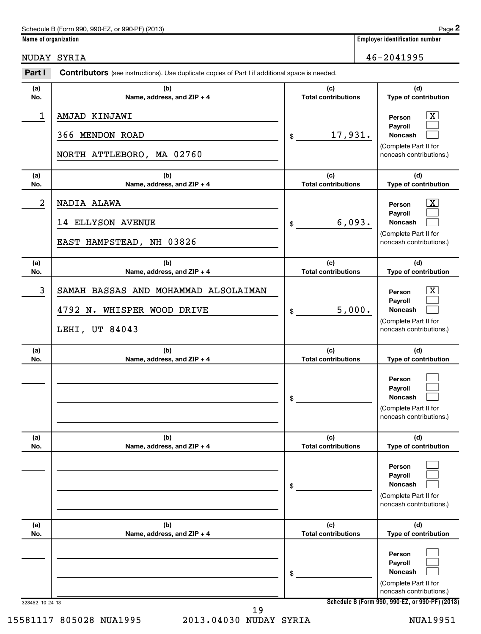| Schedule B (Form 990, 990-EZ, or 990-PF) (2013) | Page |
|-------------------------------------------------|------|
|-------------------------------------------------|------|

**Name of organization Employer identification number**

NUDAY SYRIA 46-2041995

| Part I          | <b>Contributors</b> (see instructions). Use duplicate copies of Part I if additional space is needed. |                                   |                                                                                                                                            |
|-----------------|-------------------------------------------------------------------------------------------------------|-----------------------------------|--------------------------------------------------------------------------------------------------------------------------------------------|
| (a)<br>No.      | (b)<br>Name, address, and ZIP + 4                                                                     | (c)<br><b>Total contributions</b> | (d)<br>Type of contribution                                                                                                                |
| 1               | AMJAD KINJAWI<br>366 MENDON ROAD<br>NORTH ATTLEBORO, MA 02760                                         | 17,931.<br>$\$\$                  | $\overline{\mathbf{X}}$<br>Person<br>Payroll<br>Noncash<br>(Complete Part II for<br>noncash contributions.)                                |
| (a)<br>No.      | (b)<br>Name, address, and ZIP + 4                                                                     | (c)<br><b>Total contributions</b> | (d)<br>Type of contribution                                                                                                                |
| 2               | NADIA ALAWA<br>14 ELLYSON AVENUE<br>EAST HAMPSTEAD, NH 03826                                          | 6,093.<br>$\mathfrak{S}$          | $\boxed{\textbf{X}}$<br>Person<br>Payroll<br>Noncash<br>(Complete Part II for<br>noncash contributions.)                                   |
| (a)<br>No.      | (b)<br>Name, address, and ZIP + 4                                                                     | (c)<br><b>Total contributions</b> | (d)<br>Type of contribution                                                                                                                |
| 3               | SAMAH BASSAS AND MOHAMMAD ALSOLAIMAN<br>4792 N. WHISPER WOOD DRIVE<br>LEHI, UT 84043                  | 5,000.<br>\$                      | $\overline{\mathbf{X}}$<br>Person<br>Payroll<br>Noncash<br>(Complete Part II for<br>noncash contributions.)                                |
| (a)<br>No.      | (b)<br>Name, address, and ZIP + 4                                                                     | (c)<br><b>Total contributions</b> | (d)<br>Type of contribution                                                                                                                |
|                 |                                                                                                       | \$                                | Person<br>Payroll<br>Noncash<br>(Complete Part II for<br>noncash contributions.)                                                           |
| (a)<br>No.      | (b)<br>Name, address, and ZIP + 4                                                                     | (c)<br><b>Total contributions</b> | (d)<br>Type of contribution                                                                                                                |
|                 |                                                                                                       | \$                                | Person<br>Payroll<br><b>Noncash</b><br>(Complete Part II for<br>noncash contributions.)                                                    |
| (a)<br>No.      | (b)<br>Name, address, and ZIP + 4                                                                     | (c)<br><b>Total contributions</b> | (d)<br>Type of contribution                                                                                                                |
| 323452 10-24-13 |                                                                                                       | \$                                | Person<br>Payroll<br><b>Noncash</b><br>(Complete Part II for<br>noncash contributions.)<br>Schedule B (Form 990, 990-EZ, or 990-PF) (2013) |

15581117 805028 NUA1995 2013.04030 NUDAY SYRIA NUA19951 19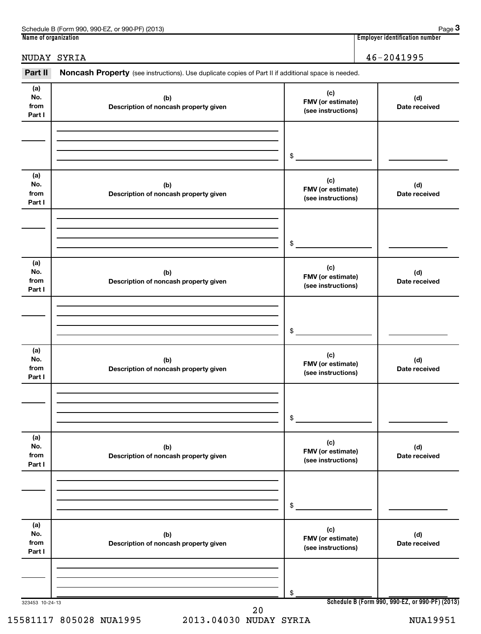| (2013)<br>. 990-EZ<br>Schedule B (Form<br>or 990-PF)<br><b>990</b> | Paqe                                     |
|--------------------------------------------------------------------|------------------------------------------|
| Name of<br>e of organization (                                     | <br>r identification number.<br>Employer |

**3**

## NUDAY SYRIA 46-2041995

Part II Noncash Property (see instructions). Use duplicate copies of Part II if additional space is needed.

| (a)<br>No.<br>from<br>Part I | (b)<br>Description of noncash property given | (c)<br>FMV (or estimate)<br>(see instructions) | (d)<br>Date received                            |
|------------------------------|----------------------------------------------|------------------------------------------------|-------------------------------------------------|
|                              |                                              |                                                |                                                 |
|                              |                                              | \$                                             |                                                 |
| (a)<br>No.                   |                                              | (c)                                            |                                                 |
| from<br>Part I               | (b)<br>Description of noncash property given | FMV (or estimate)<br>(see instructions)        | (d)<br>Date received                            |
|                              |                                              |                                                |                                                 |
|                              |                                              | \$                                             |                                                 |
| (a)<br>No.<br>from<br>Part I | (b)<br>Description of noncash property given | (c)<br>FMV (or estimate)<br>(see instructions) | (d)<br>Date received                            |
|                              |                                              |                                                |                                                 |
|                              |                                              | \$                                             |                                                 |
| (a)<br>No.<br>from<br>Part I | (b)<br>Description of noncash property given | (c)<br>FMV (or estimate)<br>(see instructions) | (d)<br>Date received                            |
|                              |                                              |                                                |                                                 |
|                              |                                              | \$                                             |                                                 |
| (a)<br>No.<br>from<br>Part I | (b)<br>Description of noncash property given | (c)<br>FMV (or estimate)<br>(see instructions) | (d)<br>Date received                            |
|                              |                                              |                                                |                                                 |
|                              |                                              | \$                                             |                                                 |
| (a)<br>No.<br>from<br>Part I | (b)<br>Description of noncash property given | (c)<br>FMV (or estimate)<br>(see instructions) | (d)<br>Date received                            |
|                              |                                              |                                                |                                                 |
|                              |                                              | \$                                             |                                                 |
| 323453 10-24-13              |                                              |                                                | Schedule B (Form 990, 990-EZ, or 990-PF) (2013) |

15581117 805028 NUA1995 2013.04030 NUDAY SYRIA NUA19951

20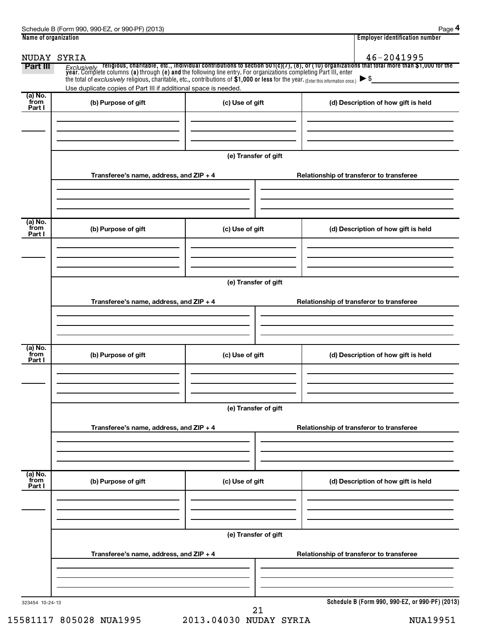| Name of organization      |                                                                                                                                                              |                      | <b>Employer identification number</b>                                                                                                                                                                                              |
|---------------------------|--------------------------------------------------------------------------------------------------------------------------------------------------------------|----------------------|------------------------------------------------------------------------------------------------------------------------------------------------------------------------------------------------------------------------------------|
| NUDAY SYRIA               |                                                                                                                                                              |                      | 46-2041995                                                                                                                                                                                                                         |
| Part III                  | the total of exclusively religious, charitable, etc., contributions of \$1,000 or less for the year. (Enter this information once.) $\blacktriangleright$ \$ |                      | Exclusively religious, charitable, etc., individual contributions to section 501(c)(7), (8), or (10) organizations that total more than \$1,000 for the<br>year. Complete columns (a) through (e) and the following line entry. Fo |
| (a) No.                   | Use duplicate copies of Part III if additional space is needed.                                                                                              |                      |                                                                                                                                                                                                                                    |
| from<br>Part I            | (b) Purpose of gift                                                                                                                                          | (c) Use of gift      | (d) Description of how gift is held                                                                                                                                                                                                |
|                           |                                                                                                                                                              |                      |                                                                                                                                                                                                                                    |
|                           |                                                                                                                                                              | (e) Transfer of gift |                                                                                                                                                                                                                                    |
|                           | Transferee's name, address, and ZIP + 4                                                                                                                      |                      | Relationship of transferor to transferee                                                                                                                                                                                           |
| (a) No.                   |                                                                                                                                                              |                      |                                                                                                                                                                                                                                    |
| from<br>Part I            | (b) Purpose of gift                                                                                                                                          | (c) Use of gift      | (d) Description of how gift is held                                                                                                                                                                                                |
|                           |                                                                                                                                                              |                      |                                                                                                                                                                                                                                    |
|                           |                                                                                                                                                              | (e) Transfer of gift |                                                                                                                                                                                                                                    |
|                           | Transferee's name, address, and ZIP + 4                                                                                                                      |                      | Relationship of transferor to transferee                                                                                                                                                                                           |
|                           |                                                                                                                                                              |                      |                                                                                                                                                                                                                                    |
| (a) No.<br>from<br>Part I | (b) Purpose of gift                                                                                                                                          | (c) Use of gift      | (d) Description of how gift is held                                                                                                                                                                                                |
|                           |                                                                                                                                                              |                      |                                                                                                                                                                                                                                    |
|                           |                                                                                                                                                              | (e) Transfer of gift |                                                                                                                                                                                                                                    |
|                           | Transferee's name, address, and ZIP + 4                                                                                                                      |                      | Relationship of transferor to transferee                                                                                                                                                                                           |
| (a) No.                   |                                                                                                                                                              |                      |                                                                                                                                                                                                                                    |
| from<br>Part I            | (b) Purpose of gift                                                                                                                                          | (c) Use of gift      | (d) Description of how gift is held                                                                                                                                                                                                |
|                           |                                                                                                                                                              |                      |                                                                                                                                                                                                                                    |
|                           |                                                                                                                                                              | (e) Transfer of gift |                                                                                                                                                                                                                                    |
|                           | Transferee's name, address, and ZIP + 4                                                                                                                      |                      | Relationship of transferor to transferee                                                                                                                                                                                           |
|                           |                                                                                                                                                              |                      |                                                                                                                                                                                                                                    |
| 323454 10-24-13           |                                                                                                                                                              | 21                   | Schedule B (Form 990, 990-EZ, or 990-PF) (2013)                                                                                                                                                                                    |

15581117 805028 NUA1995 2013.04030 NUDAY SYRIA NUA19951 21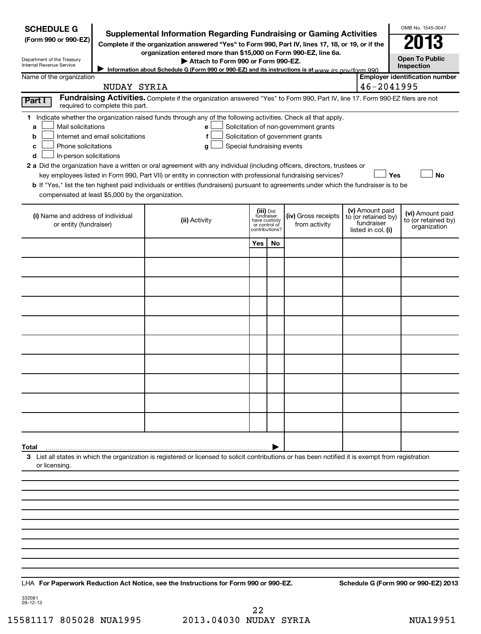| <b>SCHEDULE G</b>                                                                                                                                           | Supplemental Information Regarding Fundraising or Gaming Activities                                                                     |                       |                                         |                                       |  |                                        | OMB No. 1545-0047                       |  |
|-------------------------------------------------------------------------------------------------------------------------------------------------------------|-----------------------------------------------------------------------------------------------------------------------------------------|-----------------------|-----------------------------------------|---------------------------------------|--|----------------------------------------|-----------------------------------------|--|
| (Form 990 or 990-EZ)                                                                                                                                        | Complete if the organization answered "Yes" to Form 990, Part IV, lines 17, 18, or 19, or if the                                        |                       |                                         |                                       |  |                                        |                                         |  |
| organization entered more than \$15,000 on Form 990-EZ, line 6a.<br>Department of the Treasury                                                              |                                                                                                                                         | <b>Open To Public</b> |                                         |                                       |  |                                        |                                         |  |
| Internal Revenue Service                                                                                                                                    | Attach to Form 990 or Form 990-EZ.<br>Information about Schedule G (Form 990 or 990-EZ) and its instructions is at www irs gov/form 990 |                       |                                         |                                       |  |                                        | Inspection                              |  |
| Name of the organization<br>NUDAY SYRIA                                                                                                                     |                                                                                                                                         |                       |                                         |                                       |  | 46-2041995                             | <b>Employer identification number</b>   |  |
| Part I                                                                                                                                                      | Fundraising Activities. Complete if the organization answered "Yes" to Form 990, Part IV, line 17. Form 990-EZ filers are not           |                       |                                         |                                       |  |                                        |                                         |  |
| required to complete this part.                                                                                                                             |                                                                                                                                         |                       |                                         |                                       |  |                                        |                                         |  |
| 1 Indicate whether the organization raised funds through any of the following activities. Check all that apply.<br>Mail solicitations<br>a                  | e                                                                                                                                       |                       |                                         | Solicitation of non-government grants |  |                                        |                                         |  |
| Internet and email solicitations<br>b                                                                                                                       | f                                                                                                                                       |                       |                                         | Solicitation of government grants     |  |                                        |                                         |  |
| Phone solicitations<br>c                                                                                                                                    | Special fundraising events<br>g                                                                                                         |                       |                                         |                                       |  |                                        |                                         |  |
| In-person solicitations<br>d<br>2 a Did the organization have a written or oral agreement with any individual (including officers, directors, trustees or   |                                                                                                                                         |                       |                                         |                                       |  |                                        |                                         |  |
|                                                                                                                                                             | key employees listed in Form 990, Part VII) or entity in connection with professional fundraising services?                             |                       |                                         |                                       |  |                                        | Yes<br><b>No</b>                        |  |
| b If "Yes," list the ten highest paid individuals or entities (fundraisers) pursuant to agreements under which the fundraiser is to be                      |                                                                                                                                         |                       |                                         |                                       |  |                                        |                                         |  |
| compensated at least \$5,000 by the organization.                                                                                                           |                                                                                                                                         |                       |                                         |                                       |  |                                        |                                         |  |
| (i) Name and address of individual                                                                                                                          | (ii) Activity                                                                                                                           |                       | (iii) Did<br>fundraiser<br>have custody | (iv) Gross receipts                   |  | (v) Amount paid<br>to (or retained by) | (vi) Amount paid<br>to (or retained by) |  |
| or entity (fundraiser)                                                                                                                                      |                                                                                                                                         |                       | or control of<br>contributions?         | from activity                         |  | fundraiser<br>listed in col. (i)       | organization                            |  |
|                                                                                                                                                             |                                                                                                                                         | <b>Yes</b>            | No                                      |                                       |  |                                        |                                         |  |
|                                                                                                                                                             |                                                                                                                                         |                       |                                         |                                       |  |                                        |                                         |  |
|                                                                                                                                                             |                                                                                                                                         |                       |                                         |                                       |  |                                        |                                         |  |
|                                                                                                                                                             |                                                                                                                                         |                       |                                         |                                       |  |                                        |                                         |  |
|                                                                                                                                                             |                                                                                                                                         |                       |                                         |                                       |  |                                        |                                         |  |
|                                                                                                                                                             |                                                                                                                                         |                       |                                         |                                       |  |                                        |                                         |  |
|                                                                                                                                                             |                                                                                                                                         |                       |                                         |                                       |  |                                        |                                         |  |
|                                                                                                                                                             |                                                                                                                                         |                       |                                         |                                       |  |                                        |                                         |  |
|                                                                                                                                                             |                                                                                                                                         |                       |                                         |                                       |  |                                        |                                         |  |
|                                                                                                                                                             |                                                                                                                                         |                       |                                         |                                       |  |                                        |                                         |  |
|                                                                                                                                                             |                                                                                                                                         |                       |                                         |                                       |  |                                        |                                         |  |
|                                                                                                                                                             |                                                                                                                                         |                       |                                         |                                       |  |                                        |                                         |  |
|                                                                                                                                                             |                                                                                                                                         |                       |                                         |                                       |  |                                        |                                         |  |
|                                                                                                                                                             |                                                                                                                                         |                       |                                         |                                       |  |                                        |                                         |  |
|                                                                                                                                                             |                                                                                                                                         |                       |                                         |                                       |  |                                        |                                         |  |
| Total<br>3 List all states in which the organization is registered or licensed to solicit contributions or has been notified it is exempt from registration |                                                                                                                                         |                       |                                         |                                       |  |                                        |                                         |  |
| or licensing.                                                                                                                                               |                                                                                                                                         |                       |                                         |                                       |  |                                        |                                         |  |
|                                                                                                                                                             |                                                                                                                                         |                       |                                         |                                       |  |                                        |                                         |  |
|                                                                                                                                                             |                                                                                                                                         |                       |                                         |                                       |  |                                        |                                         |  |
|                                                                                                                                                             |                                                                                                                                         |                       |                                         |                                       |  |                                        |                                         |  |
|                                                                                                                                                             |                                                                                                                                         |                       |                                         |                                       |  |                                        |                                         |  |
|                                                                                                                                                             |                                                                                                                                         |                       |                                         |                                       |  |                                        |                                         |  |
|                                                                                                                                                             |                                                                                                                                         |                       |                                         |                                       |  |                                        |                                         |  |
|                                                                                                                                                             |                                                                                                                                         |                       |                                         |                                       |  |                                        |                                         |  |
|                                                                                                                                                             |                                                                                                                                         |                       |                                         |                                       |  |                                        |                                         |  |

332081 09-12-13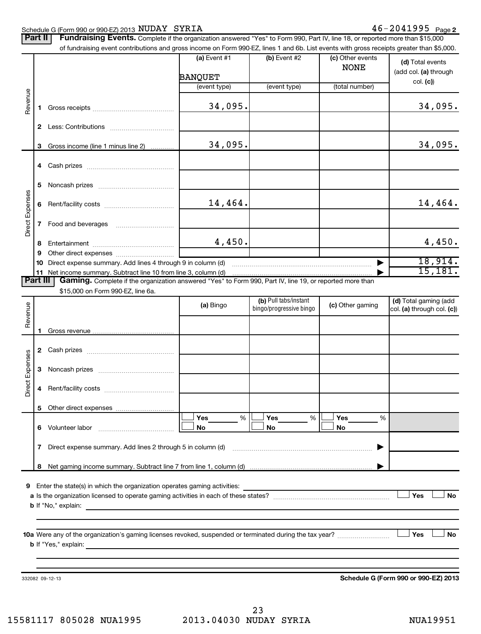#### Schedule G (Form 990 or 990-EZ) 2013 Page NUDAY SYRIA 46-2041995

|                 | Part II | Fundraising Events. Complete if the organization answered "Yes" to Form 990, Part IV, line 18, or reported more than \$15,000<br>of fundraising event contributions and gross income on Form 990-EZ, lines 1 and 6b. List events with gross receipts greater than \$5,000. |                         |                         |                                 |                                                       |
|-----------------|---------|----------------------------------------------------------------------------------------------------------------------------------------------------------------------------------------------------------------------------------------------------------------------------|-------------------------|-------------------------|---------------------------------|-------------------------------------------------------|
|                 |         |                                                                                                                                                                                                                                                                            | (a) Event #1<br>BANQUET | $(b)$ Event #2          | (c) Other events<br><b>NONE</b> | (d) Total events<br>(add col. (a) through<br>col. (c) |
|                 |         |                                                                                                                                                                                                                                                                            | (event type)            | (event type)            | (total number)                  |                                                       |
| Revenue         | 1.      |                                                                                                                                                                                                                                                                            | 34,095.                 |                         |                                 | 34,095.                                               |
|                 |         |                                                                                                                                                                                                                                                                            |                         |                         |                                 |                                                       |
|                 |         |                                                                                                                                                                                                                                                                            |                         |                         |                                 |                                                       |
|                 | 3       | Gross income (line 1 minus line 2)                                                                                                                                                                                                                                         | 34,095.                 |                         |                                 | 34,095.                                               |
|                 |         |                                                                                                                                                                                                                                                                            |                         |                         |                                 |                                                       |
|                 | 5       |                                                                                                                                                                                                                                                                            |                         |                         |                                 |                                                       |
|                 |         |                                                                                                                                                                                                                                                                            |                         |                         |                                 |                                                       |
|                 | 6       |                                                                                                                                                                                                                                                                            | 14,464.                 |                         |                                 | 14,464.                                               |
| Direct Expenses | 7       |                                                                                                                                                                                                                                                                            |                         |                         |                                 |                                                       |
|                 | 8       |                                                                                                                                                                                                                                                                            | 4,450.                  |                         |                                 | 4,450.                                                |
|                 | 9       |                                                                                                                                                                                                                                                                            |                         |                         |                                 |                                                       |
|                 | 10      |                                                                                                                                                                                                                                                                            |                         |                         |                                 | 18,914.                                               |
| Part III        |         | 11 Net income summary. Subtract line 10 from line 3, column (d)<br>Gaming. Complete if the organization answered "Yes" to Form 990, Part IV, line 19, or reported more than                                                                                                |                         |                         |                                 | 15, 181.                                              |
|                 |         | \$15,000 on Form 990-EZ, line 6a.                                                                                                                                                                                                                                          |                         |                         |                                 |                                                       |
|                 |         |                                                                                                                                                                                                                                                                            | (a) Bingo               | (b) Pull tabs/instant   | (c) Other gaming                | (d) Total gaming (add                                 |
| Revenue         |         |                                                                                                                                                                                                                                                                            |                         | bingo/progressive bingo |                                 | col. (a) through col. (c))                            |
|                 | 1.      |                                                                                                                                                                                                                                                                            |                         |                         |                                 |                                                       |
|                 |         |                                                                                                                                                                                                                                                                            |                         |                         |                                 |                                                       |
|                 |         |                                                                                                                                                                                                                                                                            |                         |                         |                                 |                                                       |
|                 | 3       |                                                                                                                                                                                                                                                                            |                         |                         |                                 |                                                       |
| Direct Expenses |         |                                                                                                                                                                                                                                                                            |                         |                         |                                 |                                                       |
|                 | 5       |                                                                                                                                                                                                                                                                            |                         |                         |                                 |                                                       |
|                 |         | 6 Volunteer labor                                                                                                                                                                                                                                                          | Yes<br>%<br>No          | Yes<br>%<br>No          | Yes<br>%<br>No                  |                                                       |
|                 | 7       | Direct expense summary. Add lines 2 through 5 in column (d)                                                                                                                                                                                                                |                         |                         |                                 |                                                       |
|                 | 8       |                                                                                                                                                                                                                                                                            |                         |                         |                                 |                                                       |
|                 |         |                                                                                                                                                                                                                                                                            |                         |                         |                                 |                                                       |
|                 |         | 9 Enter the state(s) in which the organization operates gaming activities:                                                                                                                                                                                                 |                         |                         |                                 | Yes<br><b>No</b>                                      |
|                 |         | <b>b</b> If "No," explain:<br><u> 1989 - Johann Stein, marwolaethau a bhann an t-Amhainn an t-Amhainn an t-Amhainn an t-Amhainn an t-Amhainn an</u>                                                                                                                        |                         |                         |                                 |                                                       |
|                 |         |                                                                                                                                                                                                                                                                            |                         |                         |                                 |                                                       |
|                 |         |                                                                                                                                                                                                                                                                            |                         |                         |                                 | <b>No</b><br>Yes                                      |
|                 |         |                                                                                                                                                                                                                                                                            |                         |                         |                                 |                                                       |
|                 |         |                                                                                                                                                                                                                                                                            |                         |                         |                                 |                                                       |

332082 09-12-13

**Schedule G (Form 990 or 990-EZ) 2013**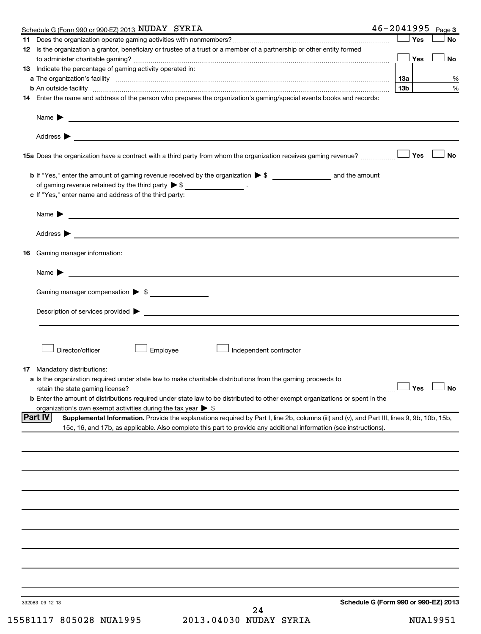| Yes<br><b>No</b><br>12 Is the organization a grantor, beneficiary or trustee of a trust or a member of a partnership or other entity formed<br>Yes<br><b>No</b><br>13 Indicate the percentage of gaming activity operated in:<br>1За<br>13 <sub>b</sub><br><b>b</b> An outside facility <i>www.communicality www.communicality.communicality www.communicality www.communicality.communicality www.communicality.com</i><br>14 Enter the name and address of the person who prepares the organization's gaming/special events books and records:<br>Name $\blacktriangleright$<br><u> 1989 - Johann Barbara, martin amerikan basal dan berasal dan berasal dalam basal dan berasal dan berasal dan</u><br>Yes<br><b>No</b><br>15a Does the organization have a contract with a third party from whom the organization receives gaming revenue?<br>of gaming revenue retained by the third party $\triangleright$ \$ __________________.<br>c If "Yes," enter name and address of the third party:<br><u> 1989 - Johann Barbara, martin amerikan basal dan berasal dalam basal dalam basal dalam basal dalam basal dala</u><br>Name $\blacktriangleright$<br>Address $\blacktriangleright$<br><b>16</b> Gaming manager information:<br>Name $\blacktriangleright$<br>Gaming manager compensation > \$<br>$\blacksquare$ Description of services provided $\blacktriangleright$<br>Director/officer<br>Employee<br>Independent contractor<br><b>17</b> Mandatory distributions:<br>a Is the organization required under state law to make charitable distributions from the gaming proceeds to<br>$\Box$ Yes $\Box$ No<br>retain the state gaming license?<br><b>b</b> Enter the amount of distributions required under state law to be distributed to other exempt organizations or spent in the<br>organization's own exempt activities during the tax year $\triangleright$ \$<br> Part IV<br>Supplemental Information. Provide the explanations required by Part I, line 2b, columns (iii) and (v), and Part III, lines 9, 9b, 10b, 15b,<br>15c, 16, and 17b, as applicable. Also complete this part to provide any additional information (see instructions).<br>Schedule G (Form 990 or 990-EZ) 2013<br>332083 09-12-13<br>24 | Schedule G (Form 990 or 990-EZ) 2013 NUDAY SYRIA | $46 - 2041995$ | Page 3 |
|-----------------------------------------------------------------------------------------------------------------------------------------------------------------------------------------------------------------------------------------------------------------------------------------------------------------------------------------------------------------------------------------------------------------------------------------------------------------------------------------------------------------------------------------------------------------------------------------------------------------------------------------------------------------------------------------------------------------------------------------------------------------------------------------------------------------------------------------------------------------------------------------------------------------------------------------------------------------------------------------------------------------------------------------------------------------------------------------------------------------------------------------------------------------------------------------------------------------------------------------------------------------------------------------------------------------------------------------------------------------------------------------------------------------------------------------------------------------------------------------------------------------------------------------------------------------------------------------------------------------------------------------------------------------------------------------------------------------------------------------------------------------------------------------------------------------------------------------------------------------------------------------------------------------------------------------------------------------------------------------------------------------------------------------------------------------------------------------------------------------------------------------------------------------------------------------------------------------------------------|--------------------------------------------------|----------------|--------|
|                                                                                                                                                                                                                                                                                                                                                                                                                                                                                                                                                                                                                                                                                                                                                                                                                                                                                                                                                                                                                                                                                                                                                                                                                                                                                                                                                                                                                                                                                                                                                                                                                                                                                                                                                                                                                                                                                                                                                                                                                                                                                                                                                                                                                                   |                                                  |                |        |
|                                                                                                                                                                                                                                                                                                                                                                                                                                                                                                                                                                                                                                                                                                                                                                                                                                                                                                                                                                                                                                                                                                                                                                                                                                                                                                                                                                                                                                                                                                                                                                                                                                                                                                                                                                                                                                                                                                                                                                                                                                                                                                                                                                                                                                   |                                                  |                |        |
|                                                                                                                                                                                                                                                                                                                                                                                                                                                                                                                                                                                                                                                                                                                                                                                                                                                                                                                                                                                                                                                                                                                                                                                                                                                                                                                                                                                                                                                                                                                                                                                                                                                                                                                                                                                                                                                                                                                                                                                                                                                                                                                                                                                                                                   |                                                  |                |        |
|                                                                                                                                                                                                                                                                                                                                                                                                                                                                                                                                                                                                                                                                                                                                                                                                                                                                                                                                                                                                                                                                                                                                                                                                                                                                                                                                                                                                                                                                                                                                                                                                                                                                                                                                                                                                                                                                                                                                                                                                                                                                                                                                                                                                                                   |                                                  |                | %      |
|                                                                                                                                                                                                                                                                                                                                                                                                                                                                                                                                                                                                                                                                                                                                                                                                                                                                                                                                                                                                                                                                                                                                                                                                                                                                                                                                                                                                                                                                                                                                                                                                                                                                                                                                                                                                                                                                                                                                                                                                                                                                                                                                                                                                                                   |                                                  |                | %      |
|                                                                                                                                                                                                                                                                                                                                                                                                                                                                                                                                                                                                                                                                                                                                                                                                                                                                                                                                                                                                                                                                                                                                                                                                                                                                                                                                                                                                                                                                                                                                                                                                                                                                                                                                                                                                                                                                                                                                                                                                                                                                                                                                                                                                                                   |                                                  |                |        |
|                                                                                                                                                                                                                                                                                                                                                                                                                                                                                                                                                                                                                                                                                                                                                                                                                                                                                                                                                                                                                                                                                                                                                                                                                                                                                                                                                                                                                                                                                                                                                                                                                                                                                                                                                                                                                                                                                                                                                                                                                                                                                                                                                                                                                                   |                                                  |                |        |
|                                                                                                                                                                                                                                                                                                                                                                                                                                                                                                                                                                                                                                                                                                                                                                                                                                                                                                                                                                                                                                                                                                                                                                                                                                                                                                                                                                                                                                                                                                                                                                                                                                                                                                                                                                                                                                                                                                                                                                                                                                                                                                                                                                                                                                   |                                                  |                |        |
|                                                                                                                                                                                                                                                                                                                                                                                                                                                                                                                                                                                                                                                                                                                                                                                                                                                                                                                                                                                                                                                                                                                                                                                                                                                                                                                                                                                                                                                                                                                                                                                                                                                                                                                                                                                                                                                                                                                                                                                                                                                                                                                                                                                                                                   |                                                  |                |        |
|                                                                                                                                                                                                                                                                                                                                                                                                                                                                                                                                                                                                                                                                                                                                                                                                                                                                                                                                                                                                                                                                                                                                                                                                                                                                                                                                                                                                                                                                                                                                                                                                                                                                                                                                                                                                                                                                                                                                                                                                                                                                                                                                                                                                                                   |                                                  |                |        |
|                                                                                                                                                                                                                                                                                                                                                                                                                                                                                                                                                                                                                                                                                                                                                                                                                                                                                                                                                                                                                                                                                                                                                                                                                                                                                                                                                                                                                                                                                                                                                                                                                                                                                                                                                                                                                                                                                                                                                                                                                                                                                                                                                                                                                                   |                                                  |                |        |
|                                                                                                                                                                                                                                                                                                                                                                                                                                                                                                                                                                                                                                                                                                                                                                                                                                                                                                                                                                                                                                                                                                                                                                                                                                                                                                                                                                                                                                                                                                                                                                                                                                                                                                                                                                                                                                                                                                                                                                                                                                                                                                                                                                                                                                   |                                                  |                |        |
|                                                                                                                                                                                                                                                                                                                                                                                                                                                                                                                                                                                                                                                                                                                                                                                                                                                                                                                                                                                                                                                                                                                                                                                                                                                                                                                                                                                                                                                                                                                                                                                                                                                                                                                                                                                                                                                                                                                                                                                                                                                                                                                                                                                                                                   |                                                  |                |        |
|                                                                                                                                                                                                                                                                                                                                                                                                                                                                                                                                                                                                                                                                                                                                                                                                                                                                                                                                                                                                                                                                                                                                                                                                                                                                                                                                                                                                                                                                                                                                                                                                                                                                                                                                                                                                                                                                                                                                                                                                                                                                                                                                                                                                                                   |                                                  |                |        |
|                                                                                                                                                                                                                                                                                                                                                                                                                                                                                                                                                                                                                                                                                                                                                                                                                                                                                                                                                                                                                                                                                                                                                                                                                                                                                                                                                                                                                                                                                                                                                                                                                                                                                                                                                                                                                                                                                                                                                                                                                                                                                                                                                                                                                                   |                                                  |                |        |
|                                                                                                                                                                                                                                                                                                                                                                                                                                                                                                                                                                                                                                                                                                                                                                                                                                                                                                                                                                                                                                                                                                                                                                                                                                                                                                                                                                                                                                                                                                                                                                                                                                                                                                                                                                                                                                                                                                                                                                                                                                                                                                                                                                                                                                   |                                                  |                |        |
|                                                                                                                                                                                                                                                                                                                                                                                                                                                                                                                                                                                                                                                                                                                                                                                                                                                                                                                                                                                                                                                                                                                                                                                                                                                                                                                                                                                                                                                                                                                                                                                                                                                                                                                                                                                                                                                                                                                                                                                                                                                                                                                                                                                                                                   |                                                  |                |        |
|                                                                                                                                                                                                                                                                                                                                                                                                                                                                                                                                                                                                                                                                                                                                                                                                                                                                                                                                                                                                                                                                                                                                                                                                                                                                                                                                                                                                                                                                                                                                                                                                                                                                                                                                                                                                                                                                                                                                                                                                                                                                                                                                                                                                                                   |                                                  |                |        |
|                                                                                                                                                                                                                                                                                                                                                                                                                                                                                                                                                                                                                                                                                                                                                                                                                                                                                                                                                                                                                                                                                                                                                                                                                                                                                                                                                                                                                                                                                                                                                                                                                                                                                                                                                                                                                                                                                                                                                                                                                                                                                                                                                                                                                                   |                                                  |                |        |
|                                                                                                                                                                                                                                                                                                                                                                                                                                                                                                                                                                                                                                                                                                                                                                                                                                                                                                                                                                                                                                                                                                                                                                                                                                                                                                                                                                                                                                                                                                                                                                                                                                                                                                                                                                                                                                                                                                                                                                                                                                                                                                                                                                                                                                   |                                                  |                |        |
|                                                                                                                                                                                                                                                                                                                                                                                                                                                                                                                                                                                                                                                                                                                                                                                                                                                                                                                                                                                                                                                                                                                                                                                                                                                                                                                                                                                                                                                                                                                                                                                                                                                                                                                                                                                                                                                                                                                                                                                                                                                                                                                                                                                                                                   |                                                  |                |        |
|                                                                                                                                                                                                                                                                                                                                                                                                                                                                                                                                                                                                                                                                                                                                                                                                                                                                                                                                                                                                                                                                                                                                                                                                                                                                                                                                                                                                                                                                                                                                                                                                                                                                                                                                                                                                                                                                                                                                                                                                                                                                                                                                                                                                                                   |                                                  |                |        |
|                                                                                                                                                                                                                                                                                                                                                                                                                                                                                                                                                                                                                                                                                                                                                                                                                                                                                                                                                                                                                                                                                                                                                                                                                                                                                                                                                                                                                                                                                                                                                                                                                                                                                                                                                                                                                                                                                                                                                                                                                                                                                                                                                                                                                                   |                                                  |                |        |
|                                                                                                                                                                                                                                                                                                                                                                                                                                                                                                                                                                                                                                                                                                                                                                                                                                                                                                                                                                                                                                                                                                                                                                                                                                                                                                                                                                                                                                                                                                                                                                                                                                                                                                                                                                                                                                                                                                                                                                                                                                                                                                                                                                                                                                   |                                                  |                |        |
|                                                                                                                                                                                                                                                                                                                                                                                                                                                                                                                                                                                                                                                                                                                                                                                                                                                                                                                                                                                                                                                                                                                                                                                                                                                                                                                                                                                                                                                                                                                                                                                                                                                                                                                                                                                                                                                                                                                                                                                                                                                                                                                                                                                                                                   |                                                  |                |        |
|                                                                                                                                                                                                                                                                                                                                                                                                                                                                                                                                                                                                                                                                                                                                                                                                                                                                                                                                                                                                                                                                                                                                                                                                                                                                                                                                                                                                                                                                                                                                                                                                                                                                                                                                                                                                                                                                                                                                                                                                                                                                                                                                                                                                                                   |                                                  |                |        |
|                                                                                                                                                                                                                                                                                                                                                                                                                                                                                                                                                                                                                                                                                                                                                                                                                                                                                                                                                                                                                                                                                                                                                                                                                                                                                                                                                                                                                                                                                                                                                                                                                                                                                                                                                                                                                                                                                                                                                                                                                                                                                                                                                                                                                                   |                                                  |                |        |
|                                                                                                                                                                                                                                                                                                                                                                                                                                                                                                                                                                                                                                                                                                                                                                                                                                                                                                                                                                                                                                                                                                                                                                                                                                                                                                                                                                                                                                                                                                                                                                                                                                                                                                                                                                                                                                                                                                                                                                                                                                                                                                                                                                                                                                   |                                                  |                |        |
|                                                                                                                                                                                                                                                                                                                                                                                                                                                                                                                                                                                                                                                                                                                                                                                                                                                                                                                                                                                                                                                                                                                                                                                                                                                                                                                                                                                                                                                                                                                                                                                                                                                                                                                                                                                                                                                                                                                                                                                                                                                                                                                                                                                                                                   |                                                  |                |        |
|                                                                                                                                                                                                                                                                                                                                                                                                                                                                                                                                                                                                                                                                                                                                                                                                                                                                                                                                                                                                                                                                                                                                                                                                                                                                                                                                                                                                                                                                                                                                                                                                                                                                                                                                                                                                                                                                                                                                                                                                                                                                                                                                                                                                                                   |                                                  |                |        |
|                                                                                                                                                                                                                                                                                                                                                                                                                                                                                                                                                                                                                                                                                                                                                                                                                                                                                                                                                                                                                                                                                                                                                                                                                                                                                                                                                                                                                                                                                                                                                                                                                                                                                                                                                                                                                                                                                                                                                                                                                                                                                                                                                                                                                                   |                                                  |                |        |
|                                                                                                                                                                                                                                                                                                                                                                                                                                                                                                                                                                                                                                                                                                                                                                                                                                                                                                                                                                                                                                                                                                                                                                                                                                                                                                                                                                                                                                                                                                                                                                                                                                                                                                                                                                                                                                                                                                                                                                                                                                                                                                                                                                                                                                   |                                                  |                |        |
|                                                                                                                                                                                                                                                                                                                                                                                                                                                                                                                                                                                                                                                                                                                                                                                                                                                                                                                                                                                                                                                                                                                                                                                                                                                                                                                                                                                                                                                                                                                                                                                                                                                                                                                                                                                                                                                                                                                                                                                                                                                                                                                                                                                                                                   |                                                  |                |        |
|                                                                                                                                                                                                                                                                                                                                                                                                                                                                                                                                                                                                                                                                                                                                                                                                                                                                                                                                                                                                                                                                                                                                                                                                                                                                                                                                                                                                                                                                                                                                                                                                                                                                                                                                                                                                                                                                                                                                                                                                                                                                                                                                                                                                                                   |                                                  |                |        |
|                                                                                                                                                                                                                                                                                                                                                                                                                                                                                                                                                                                                                                                                                                                                                                                                                                                                                                                                                                                                                                                                                                                                                                                                                                                                                                                                                                                                                                                                                                                                                                                                                                                                                                                                                                                                                                                                                                                                                                                                                                                                                                                                                                                                                                   |                                                  |                |        |
|                                                                                                                                                                                                                                                                                                                                                                                                                                                                                                                                                                                                                                                                                                                                                                                                                                                                                                                                                                                                                                                                                                                                                                                                                                                                                                                                                                                                                                                                                                                                                                                                                                                                                                                                                                                                                                                                                                                                                                                                                                                                                                                                                                                                                                   |                                                  |                |        |
|                                                                                                                                                                                                                                                                                                                                                                                                                                                                                                                                                                                                                                                                                                                                                                                                                                                                                                                                                                                                                                                                                                                                                                                                                                                                                                                                                                                                                                                                                                                                                                                                                                                                                                                                                                                                                                                                                                                                                                                                                                                                                                                                                                                                                                   |                                                  |                |        |

15581117 805028 NUA1995 2013.04030 NUDAY SYRIA NUA19951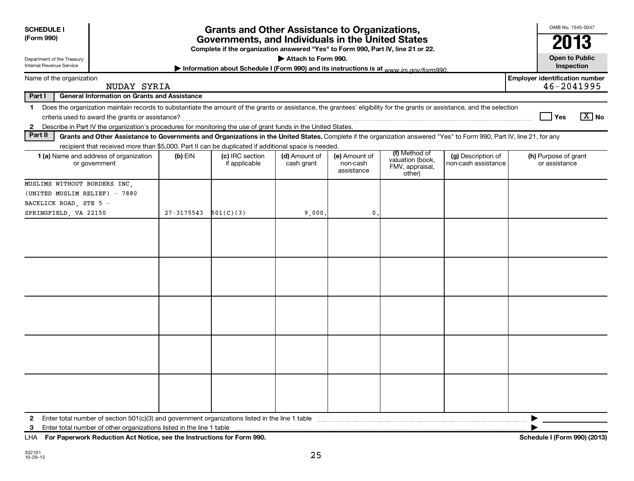| <b>SCHEDULE I</b><br>(Form 990)<br>Department of the Treasury<br>Internal Revenue Service                                                                                                                                                                                                                                |            | <b>Grants and Other Assistance to Organizations,</b><br>Governments, and Individuals in the United States<br>Complete if the organization answered "Yes" to Form 990, Part IV, line 21 or 22.<br>Information about Schedule I (Form 990) and its instructions is at www irs gov/form990 | Attach to Form 990.         |                                         |                                                                |                                           | OMB No. 1545-0047<br>2013<br><b>Open to Public</b><br>Inspection |
|--------------------------------------------------------------------------------------------------------------------------------------------------------------------------------------------------------------------------------------------------------------------------------------------------------------------------|------------|-----------------------------------------------------------------------------------------------------------------------------------------------------------------------------------------------------------------------------------------------------------------------------------------|-----------------------------|-----------------------------------------|----------------------------------------------------------------|-------------------------------------------|------------------------------------------------------------------|
| Name of the organization                                                                                                                                                                                                                                                                                                 |            |                                                                                                                                                                                                                                                                                         |                             |                                         |                                                                |                                           | <b>Employer identification number</b><br>46-2041995              |
| NUDAY SYRIA<br><b>General Information on Grants and Assistance</b><br>Part I                                                                                                                                                                                                                                             |            |                                                                                                                                                                                                                                                                                         |                             |                                         |                                                                |                                           |                                                                  |
| Does the organization maintain records to substantiate the amount of the grants or assistance, the grantees' eligibility for the grants or assistance, and the selection<br>$\mathbf 1$<br>Describe in Part IV the organization's procedures for monitoring the use of grant funds in the United States.<br>$\mathbf{2}$ |            |                                                                                                                                                                                                                                                                                         |                             |                                         |                                                                |                                           | $\boxed{\text{X}}$ No<br>Yes                                     |
| Part II<br>Grants and Other Assistance to Governments and Organizations in the United States. Complete if the organization answered "Yes" to Form 990, Part IV, line 21, for any                                                                                                                                         |            |                                                                                                                                                                                                                                                                                         |                             |                                         |                                                                |                                           |                                                                  |
| recipient that received more than \$5,000. Part II can be duplicated if additional space is needed.<br>1 (a) Name and address of organization<br>or government                                                                                                                                                           | $(b)$ EIN  | (c) IRC section<br>if applicable                                                                                                                                                                                                                                                        | (d) Amount of<br>cash grant | (e) Amount of<br>non-cash<br>assistance | (f) Method of<br>valuation (book,<br>FMV, appraisal,<br>other) | (g) Description of<br>non-cash assistance | (h) Purpose of grant<br>or assistance                            |
| MUSLIMS WITHOUT BORDERS INC,<br>(UNITED MUSLIM RELIEF) - 7880<br>BACKLICK ROAD, STE 5 -<br>SPRINGFIELD, VA 22150                                                                                                                                                                                                         | 27-3175543 | 501(C)(3)                                                                                                                                                                                                                                                                               | 9,000,                      | $\mathbf{0}$                            |                                                                |                                           |                                                                  |
|                                                                                                                                                                                                                                                                                                                          |            |                                                                                                                                                                                                                                                                                         |                             |                                         |                                                                |                                           |                                                                  |
|                                                                                                                                                                                                                                                                                                                          |            |                                                                                                                                                                                                                                                                                         |                             |                                         |                                                                |                                           |                                                                  |
| Enter total number of section 501(c)(3) and government organizations listed in the line 1 table<br>2<br>Enter total number of other organizations listed in the line 1 table<br>3<br>For Paperwork Reduction Act Notice, see the Instructions for Form 990.<br>LHA                                                       |            |                                                                                                                                                                                                                                                                                         |                             |                                         |                                                                |                                           | Schedule I (Form 990) (2013)                                     |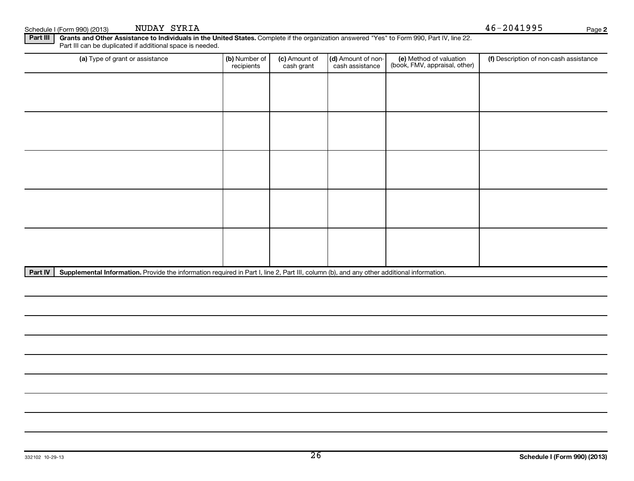| Schedule I | . I (Form 990) (2013) | SYRIA<br><b>NUDAY</b> | $15 - 204$ lyyy | Paɑe |  |
|------------|-----------------------|-----------------------|-----------------|------|--|
|------------|-----------------------|-----------------------|-----------------|------|--|

NUDAY SYRIA 46-2041995

**2**

Part III | Grants and Other Assistance to Individuals in the United States. Complete if the organization answered "Yes" to Form 990, Part IV, line 22. Part III can be duplicated if additional space is needed.

| (a) Type of grant or assistance | (b) Number of<br>recipients | (c) Amount of<br>cash grant | (d) Amount of non-<br>cash assistance | (e) Method of valuation<br>(book, FMV, appraisal, other) | (f) Description of non-cash assistance |
|---------------------------------|-----------------------------|-----------------------------|---------------------------------------|----------------------------------------------------------|----------------------------------------|
|                                 |                             |                             |                                       |                                                          |                                        |
|                                 |                             |                             |                                       |                                                          |                                        |
|                                 |                             |                             |                                       |                                                          |                                        |
|                                 |                             |                             |                                       |                                                          |                                        |
|                                 |                             |                             |                                       |                                                          |                                        |
|                                 |                             |                             |                                       |                                                          |                                        |
|                                 |                             |                             |                                       |                                                          |                                        |
|                                 |                             |                             |                                       |                                                          |                                        |
|                                 |                             |                             |                                       |                                                          |                                        |
|                                 |                             |                             |                                       |                                                          |                                        |

Part IV | Supplemental Information. Provide the information required in Part I, line 2, Part III, column (b), and any other additional information.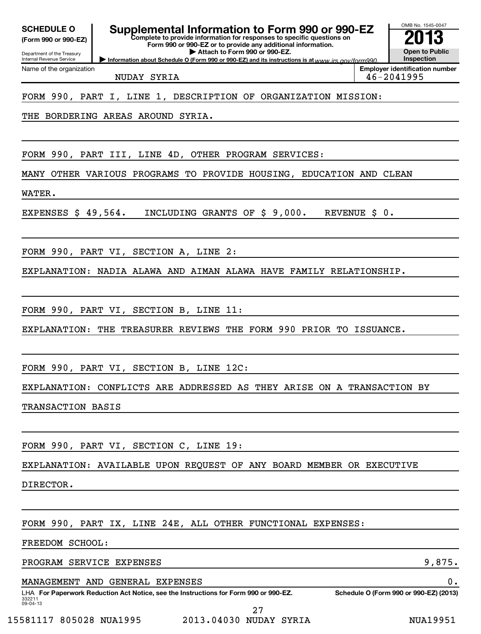| <b>SCHEDULE O</b><br>(Form 990 or 990-EZ)<br>Department of the Treasury<br>Internal Revenue Service | <b>Supplemental Information to Form 990 or 990-EZ</b><br>Complete to provide information for responses to specific questions on<br>Form 990 or 990-EZ or to provide any additional information.<br>Attach to Form 990 or 990-EZ.<br>Information about Schedule O (Form 990 or 990-EZ) and its instructions is at www.irs.cov/form990 |               | OMB No. 1545-0047<br><b>Open to Public</b><br>Inspection |
|-----------------------------------------------------------------------------------------------------|--------------------------------------------------------------------------------------------------------------------------------------------------------------------------------------------------------------------------------------------------------------------------------------------------------------------------------------|---------------|----------------------------------------------------------|
| Name of the organization                                                                            | NUDAY SYRIA                                                                                                                                                                                                                                                                                                                          |               | <b>Employer identification number</b><br>46-2041995      |
|                                                                                                     | FORM 990, PART I, LINE 1, DESCRIPTION OF ORGANIZATION MISSION:                                                                                                                                                                                                                                                                       |               |                                                          |
|                                                                                                     | THE BORDERING AREAS AROUND SYRIA.                                                                                                                                                                                                                                                                                                    |               |                                                          |
|                                                                                                     |                                                                                                                                                                                                                                                                                                                                      |               |                                                          |
|                                                                                                     | FORM 990, PART III, LINE 4D, OTHER PROGRAM SERVICES:                                                                                                                                                                                                                                                                                 |               |                                                          |
|                                                                                                     | MANY OTHER VARIOUS PROGRAMS TO PROVIDE HOUSING, EDUCATION AND CLEAN                                                                                                                                                                                                                                                                  |               |                                                          |
| WATER.                                                                                              |                                                                                                                                                                                                                                                                                                                                      |               |                                                          |
| EXPENSES $$49,564$ .                                                                                | INCLUDING GRANTS OF \$9,000.                                                                                                                                                                                                                                                                                                         | REVENUE \$ 0. |                                                          |
|                                                                                                     |                                                                                                                                                                                                                                                                                                                                      |               |                                                          |
|                                                                                                     | FORM 990, PART VI, SECTION A, LINE 2:                                                                                                                                                                                                                                                                                                |               |                                                          |
|                                                                                                     | EXPLANATION: NADIA ALAWA AND AIMAN ALAWA HAVE FAMILY RELATIONSHIP.                                                                                                                                                                                                                                                                   |               |                                                          |
|                                                                                                     |                                                                                                                                                                                                                                                                                                                                      |               |                                                          |
|                                                                                                     | FORM 990, PART VI, SECTION B, LINE 11:                                                                                                                                                                                                                                                                                               |               |                                                          |
|                                                                                                     | EXPLANATION: THE TREASURER REVIEWS THE FORM 990 PRIOR TO ISSUANCE.                                                                                                                                                                                                                                                                   |               |                                                          |
|                                                                                                     |                                                                                                                                                                                                                                                                                                                                      |               |                                                          |
|                                                                                                     | FORM 990, PART VI, SECTION B, LINE 12C:                                                                                                                                                                                                                                                                                              |               |                                                          |
|                                                                                                     | EXPLANATION: CONFLICTS ARE ADDRESSED AS THEY ARISE ON A TRANSACTION BY                                                                                                                                                                                                                                                               |               |                                                          |
| TRANSACTION BASIS                                                                                   |                                                                                                                                                                                                                                                                                                                                      |               |                                                          |
|                                                                                                     |                                                                                                                                                                                                                                                                                                                                      |               |                                                          |
|                                                                                                     | FORM 990, PART VI, SECTION C, LINE 19:                                                                                                                                                                                                                                                                                               |               |                                                          |
|                                                                                                     | EXPLANATION: AVAILABLE UPON REQUEST OF ANY BOARD MEMBER OR EXECUTIVE                                                                                                                                                                                                                                                                 |               |                                                          |
| DIRECTOR.                                                                                           |                                                                                                                                                                                                                                                                                                                                      |               |                                                          |
|                                                                                                     |                                                                                                                                                                                                                                                                                                                                      |               |                                                          |
|                                                                                                     | FORM 990, PART IX, LINE 24E, ALL OTHER FUNCTIONAL EXPENSES:                                                                                                                                                                                                                                                                          |               |                                                          |
| FREEDOM SCHOOL:                                                                                     |                                                                                                                                                                                                                                                                                                                                      |               |                                                          |
| PROGRAM SERVICE EXPENSES                                                                            |                                                                                                                                                                                                                                                                                                                                      |               | 9,875.                                                   |
|                                                                                                     | MANAGEMENT AND GENERAL EXPENSES                                                                                                                                                                                                                                                                                                      |               | 0.                                                       |

332211 09-04-13 LHA For Paperwork Reduction Act Notice, see the Instructions for Form 990 or 990-EZ. Schedule O (Form 990 or 990-EZ) (2013) 27